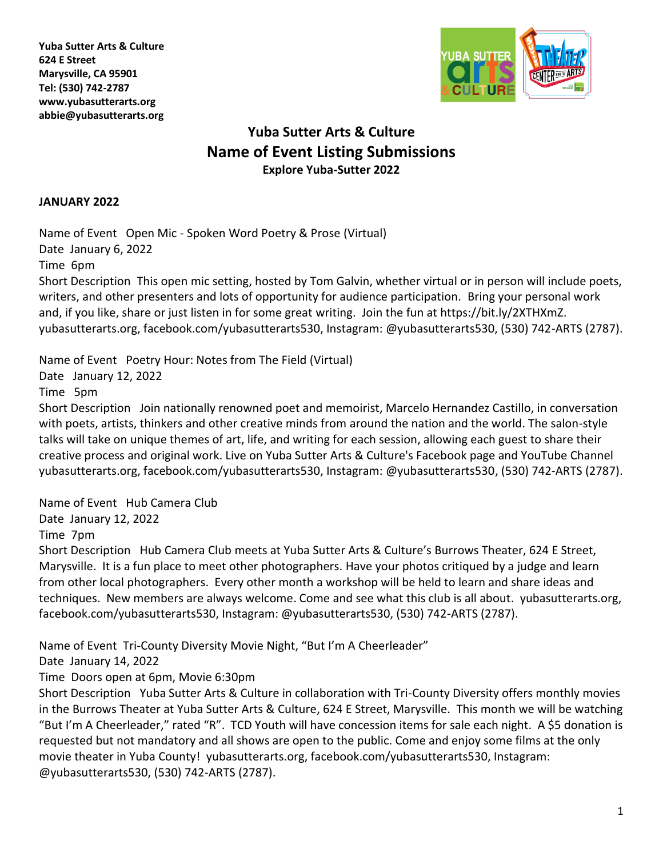**Yuba Sutter Arts & Culture 624 E Street Marysville, CA 95901 Tel: (530) 742-2787 [www.yubasutterarts.org](http://www.yubasutterarts.org/) abbie@yubasutterarts.org**



# **Yuba Sutter Arts & Culture Name of Event Listing Submissions Explore Yuba-Sutter 2022**

#### **JANUARY 2022**

Name of Event Open Mic - Spoken Word Poetry & Prose (Virtual) Date January 6, 2022

Time 6pm

Short Description This open mic setting, hosted by Tom Galvin, whether virtual or in person will include poets, writers, and other presenters and lots of opportunity for audience participation. Bring your personal work and, if you like, share or just listen in for some great writing. Join the fun at [https://bit.ly/2XTHXmZ.](https://bit.ly/2XTHXmZ) yubasutterarts.org, facebook.com/yubasutterarts530, Instagram: @yubasutterarts530, (530) 742-ARTS (2787).

Name of Event Poetry Hour: Notes from The Field (Virtual)

Date January 12, 2022

Time 5pm

Short Description Join nationally renowned poet and memoirist, Marcelo Hernandez Castillo, in conversation with poets, artists, thinkers and other creative minds from around the nation and the world. The salon-style talks will take on unique themes of art, life, and writing for each session, allowing each guest to share their creative process and original work. Live on Yuba Sutter Arts & Culture's Facebook page and YouTube Channel yubasutterarts.org, facebook.com/yubasutterarts530, Instagram: @yubasutterarts530, (530) 742-ARTS (2787).

Name of Event Hub Camera Club Date January 12, 2022

Time 7pm

Short Description Hub Camera Club meets at Yuba Sutter Arts & Culture's Burrows Theater, 624 E Street, Marysville. It is a fun place to meet other photographers. Have your photos critiqued by a judge and learn from other local photographers. Every other month a workshop will be held to learn and share ideas and techniques. New members are always welcome. Come and see what this club is all about. yubasutterarts.org, facebook.com/yubasutterarts530, Instagram: @yubasutterarts530, (530) 742-ARTS (2787).

Name of Event Tri-County Diversity Movie Night, "But I'm A Cheerleader"

Date January 14, 2022

Time Doors open at 6pm, Movie 6:30pm

Short Description Yuba Sutter Arts & Culture in collaboration with Tri-County Diversity offers monthly movies in the Burrows Theater at Yuba Sutter Arts & Culture, 624 E Street, Marysville. This month we will be watching "But I'm A Cheerleader," rated "R". TCD Youth will have concession items for sale each night. A \$5 donation is requested but not mandatory and all shows are open to the public. Come and enjoy some films at the only movie theater in Yuba County! yubasutterarts.org, facebook.com/yubasutterarts530, Instagram: @yubasutterarts530, (530) 742-ARTS (2787).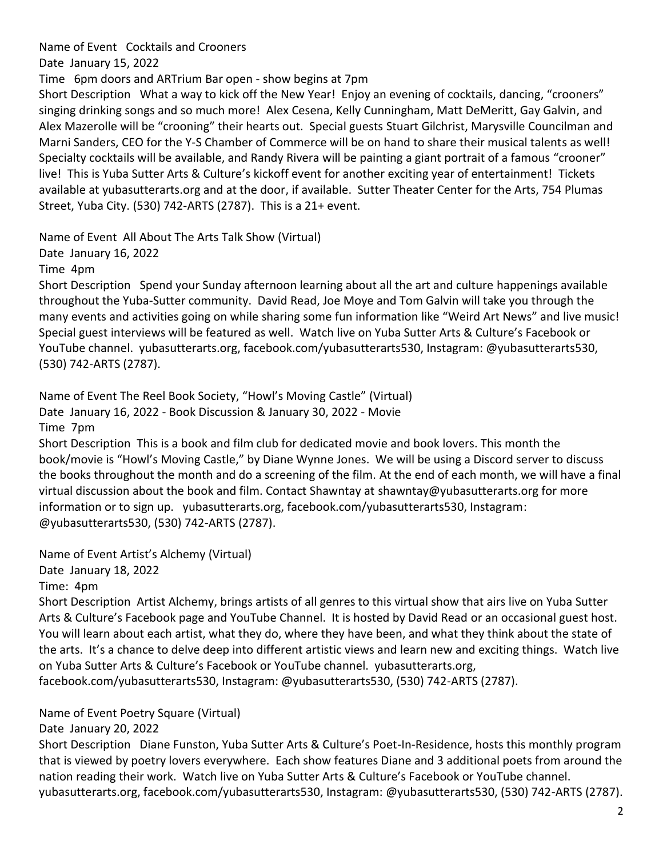Name of Event Cocktails and Crooners

Date January 15, 2022

Time 6pm doors and ARTrium Bar open - show begins at 7pm

Short Description What a way to kick off the New Year! Enjoy an evening of cocktails, dancing, "crooners" singing drinking songs and so much more! Alex Cesena, Kelly Cunningham, Matt DeMeritt, Gay Galvin, and Alex Mazerolle will be "crooning" their hearts out. Special guests Stuart Gilchrist, Marysville Councilman and Marni Sanders, CEO for the Y-S Chamber of Commerce will be on hand to share their musical talents as well! Specialty cocktails will be available, and Randy Rivera will be painting a giant portrait of a famous "crooner" live! This is Yuba Sutter Arts & Culture's kickoff event for another exciting year of entertainment! Tickets available at yubasutterarts.org and at the door, if available. Sutter Theater Center for the Arts, 754 Plumas Street, Yuba City. (530) 742-ARTS (2787). This is a 21+ event.

Name of Event All About The Arts Talk Show (Virtual)

Date January 16, 2022

Time 4pm

Short Description Spend your Sunday afternoon learning about all the art and culture happenings available throughout the Yuba-Sutter community. David Read, Joe Moye and Tom Galvin will take you through the many events and activities going on while sharing some fun information like "Weird Art News" and live music! Special guest interviews will be featured as well. Watch live on Yuba Sutter Arts & Culture's Facebook or YouTube channel. yubasutterarts.org, facebook.com/yubasutterarts530, Instagram: @yubasutterarts530, (530) 742-ARTS (2787).

Name of Event The Reel Book Society, "Howl's Moving Castle" (Virtual) Date January 16, 2022 - Book Discussion & January 30, 2022 - Movie Time 7pm

Short Description This is a book and film club for dedicated movie and book lovers. This month the book/movie is "Howl's Moving Castle," by Diane Wynne Jones. We will be using a Discord server to discuss the books throughout the month and do a screening of the film. At the end of each month, we will have a final virtual discussion about the book and film. Contact Shawntay at [shawntay@yubasutterarts.org](mailto:shawntay@yubasutterarts.org) for more information or to sign up. yubasutterarts.org, facebook.com/yubasutterarts530, Instagram: @yubasutterarts530, (530) 742-ARTS (2787).

Name of Event Artist's Alchemy (Virtual) Date January 18, 2022

Time: 4pm

Short Description Artist Alchemy, brings artists of all genres to this virtual show that airs live on Yuba Sutter Arts & Culture's Facebook page and YouTube Channel. It is hosted by David Read or an occasional guest host. You will learn about each artist, what they do, where they have been, and what they think about the state of the arts. It's a chance to delve deep into different artistic views and learn new and exciting things. Watch live on Yuba Sutter Arts & Culture's Facebook or YouTube channel. yubasutterarts.org, facebook.com/yubasutterarts530, Instagram: @yubasutterarts530, (530) 742-ARTS (2787).

Name of Event Poetry Square (Virtual)

Date January 20, 2022

Short Description Diane Funston, Yuba Sutter Arts & Culture's Poet-In-Residence, hosts this monthly program that is viewed by poetry lovers everywhere. Each show features Diane and 3 additional poets from around the nation reading their work. Watch live on Yuba Sutter Arts & Culture's Facebook or YouTube channel. yubasutterarts.org, facebook.com/yubasutterarts530, Instagram: @yubasutterarts530, (530) 742-ARTS (2787).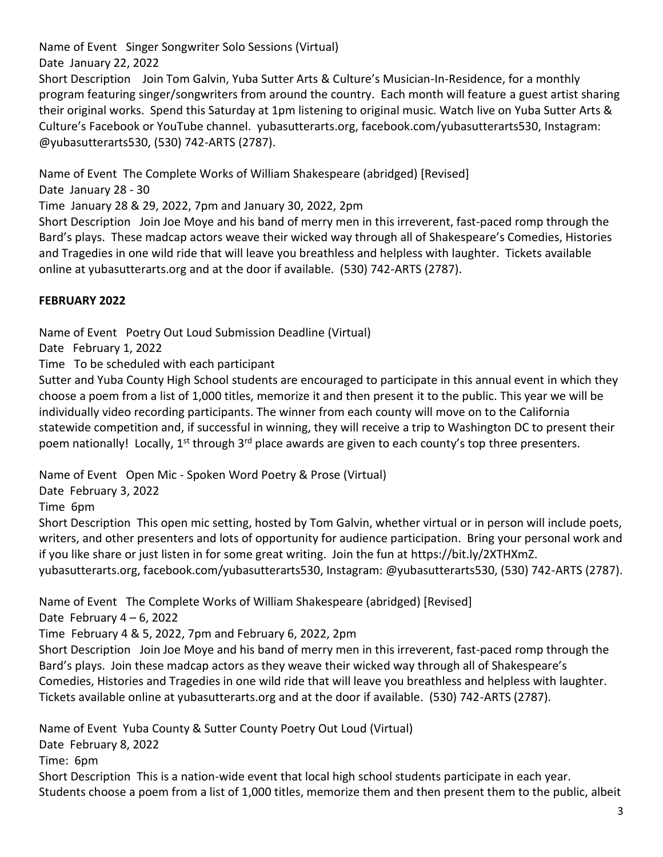Name of Event Singer Songwriter Solo Sessions (Virtual)

Date January 22, 2022

Short Description Join Tom Galvin, Yuba Sutter Arts & Culture's Musician-In-Residence, for a monthly program featuring singer/songwriters from around the country. Each month will feature a guest artist sharing their original works. Spend this Saturday at 1pm listening to original music. Watch live on Yuba Sutter Arts & Culture's Facebook or YouTube channel. yubasutterarts.org, facebook.com/yubasutterarts530, Instagram: @yubasutterarts530, (530) 742-ARTS (2787).

Name of Event The Complete Works of William Shakespeare (abridged) [Revised]

Date January 28 - 30

Time January 28 & 29, 2022, 7pm and January 30, 2022, 2pm

Short Description Join Joe Moye and his band of merry men in this irreverent, fast-paced romp through the Bard's plays. These madcap actors weave their wicked way through all of Shakespeare's Comedies, Histories and Tragedies in one wild ride that will leave you breathless and helpless with laughter. Tickets available online at yubasutterarts.org and at the door if available. (530) 742-ARTS (2787).

# **FEBRUARY 2022**

Name of Event Poetry Out Loud Submission Deadline (Virtual)

Date February 1, 2022

Time To be scheduled with each participant

Sutter and Yuba County High School students are encouraged to participate in this annual event in which they choose a poem from a list of 1,000 titles, memorize it and then present it to the public. This year we will be individually video recording participants. The winner from each county will move on to the California statewide competition and, if successful in winning, they will receive a trip to Washington DC to present their poem nationally! Locally, 1<sup>st</sup> through 3<sup>rd</sup> place awards are given to each county's top three presenters.

Name of Event Open Mic - Spoken Word Poetry & Prose (Virtual)

Date February 3, 2022

Time 6pm

Short Description This open mic setting, hosted by Tom Galvin, whether virtual or in person will include poets, writers, and other presenters and lots of opportunity for audience participation. Bring your personal work and if you like share or just listen in for some great writing. Join the fun at [https://bit.ly/2XTHXmZ.](https://bit.ly/2XTHXmZ) yubasutterarts.org, facebook.com/yubasutterarts530, Instagram: @yubasutterarts530, (530) 742-ARTS (2787).

Name of Event The Complete Works of William Shakespeare (abridged) [Revised]

Date February  $4 - 6$ , 2022

Time February 4 & 5, 2022, 7pm and February 6, 2022, 2pm

Short Description Join Joe Moye and his band of merry men in this irreverent, fast-paced romp through the Bard's plays. Join these madcap actors as they weave their wicked way through all of Shakespeare's Comedies, Histories and Tragedies in one wild ride that will leave you breathless and helpless with laughter. Tickets available online at yubasutterarts.org and at the door if available. (530) 742-ARTS (2787).

Name of Event Yuba County & Sutter County Poetry Out Loud (Virtual) Date February 8, 2022 Time: 6pm Short Description This is a nation-wide event that local high school students participate in each year. Students choose a poem from a list of 1,000 titles, memorize them and then present them to the public, albeit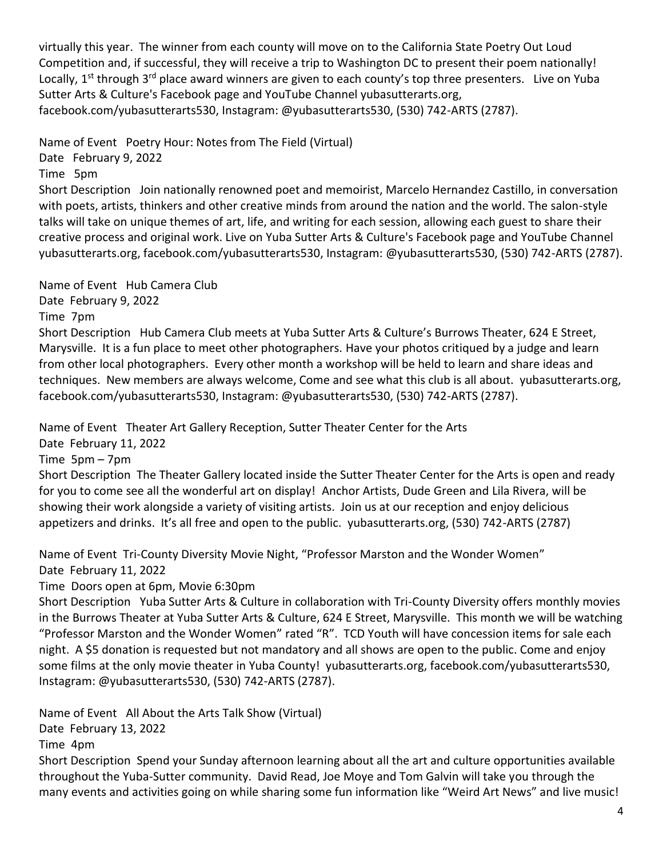virtually this year. The winner from each county will move on to the California State Poetry Out Loud Competition and, if successful, they will receive a trip to Washington DC to present their poem nationally! Locally, 1<sup>st</sup> through 3<sup>rd</sup> place award winners are given to each county's top three presenters. Live on Yuba Sutter Arts & Culture's Facebook page and YouTube Channel yubasutterarts.org, facebook.com/yubasutterarts530, Instagram: @yubasutterarts530, (530) 742-ARTS (2787).

Name of Event Poetry Hour: Notes from The Field (Virtual)

Date February 9, 2022

Time 5pm

Short Description Join nationally renowned poet and memoirist, Marcelo Hernandez Castillo, in conversation with poets, artists, thinkers and other creative minds from around the nation and the world. The salon-style talks will take on unique themes of art, life, and writing for each session, allowing each guest to share their creative process and original work. Live on Yuba Sutter Arts & Culture's Facebook page and YouTube Channel yubasutterarts.org, facebook.com/yubasutterarts530, Instagram: @yubasutterarts530, (530) 742-ARTS (2787).

Name of Event Hub Camera Club

Date February 9, 2022 Time 7pm Short Description Hub Camera Club meets at Yuba Sutter Arts & Culture's Burrows Theater, 624 E Street, Marysville. It is a fun place to meet other photographers. Have your photos critiqued by a judge and learn from other local photographers. Every other month a workshop will be held to learn and share ideas and techniques. New members are always welcome, Come and see what this club is all about. yubasutterarts.org, facebook.com/yubasutterarts530, Instagram: @yubasutterarts530, (530) 742-ARTS (2787).

Name of Event Theater Art Gallery Reception, Sutter Theater Center for the Arts

Date February 11, 2022

Time 5pm – 7pm

Short Description The Theater Gallery located inside the Sutter Theater Center for the Arts is open and ready for you to come see all the wonderful art on display! Anchor Artists, Dude Green and Lila Rivera, will be showing their work alongside a variety of visiting artists. Join us at our reception and enjoy delicious appetizers and drinks. It's all free and open to the public. yubasutterarts.org, (530) 742-ARTS (2787)

Name of Event Tri-County Diversity Movie Night, "Professor Marston and the Wonder Women" Date February 11, 2022

Time Doors open at 6pm, Movie 6:30pm

Short Description Yuba Sutter Arts & Culture in collaboration with Tri-County Diversity offers monthly movies in the Burrows Theater at Yuba Sutter Arts & Culture, 624 E Street, Marysville. This month we will be watching "Professor Marston and the Wonder Women" rated "R". TCD Youth will have concession items for sale each night. A \$5 donation is requested but not mandatory and all shows are open to the public. Come and enjoy some films at the only movie theater in Yuba County! yubasutterarts.org, facebook.com/yubasutterarts530, Instagram: @yubasutterarts530, (530) 742-ARTS (2787).

Name of Event All About the Arts Talk Show (Virtual) Date February 13, 2022 Time 4pm

Short Description Spend your Sunday afternoon learning about all the art and culture opportunities available throughout the Yuba-Sutter community. David Read, Joe Moye and Tom Galvin will take you through the many events and activities going on while sharing some fun information like "Weird Art News" and live music!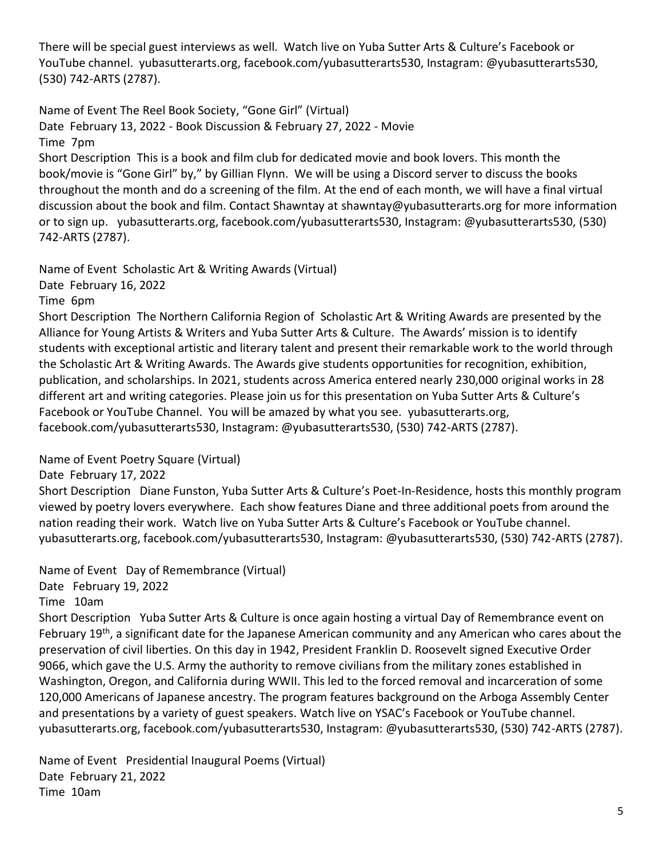There will be special guest interviews as well. Watch live on Yuba Sutter Arts & Culture's Facebook or YouTube channel. yubasutterarts.org, facebook.com/yubasutterarts530, Instagram: @yubasutterarts530, (530) 742-ARTS (2787).

Name of Event The Reel Book Society, "Gone Girl" (Virtual) Date February 13, 2022 - Book Discussion & February 27, 2022 - Movie Time 7pm Short Description This is a book and film club for dedicated movie and book lovers. This month the book/movie is "Gone Girl" by," by Gillian Flynn. We will be using a Discord server to discuss the books throughout the month and do a screening of the film. At the end of each month, we will have a final virtual discussion about the book and film. Contact Shawntay at [shawntay@yubasutterarts.org](mailto:shawntay@yubasutterarts.org) for more information or to sign up. yubasutterarts.org, facebook.com/yubasutterarts530, Instagram: @yubasutterarts530, (530) 742-ARTS (2787).

Name of Event Scholastic Art & Writing Awards (Virtual)

Date February 16, 2022

Time 6pm

Short Description The Northern California Region of Scholastic Art & Writing Awards are presented by the Alliance for Young Artists & Writers and Yuba Sutter Arts & Culture. The Awards' mission is to identify students with exceptional artistic and literary talent and present their remarkable work to the world through the Scholastic Art & Writing Awards. The Awards give students opportunities for recognition, exhibition, publication, and scholarships. In 2021, students across America entered nearly 230,000 original works in 28 different art and writing categories. Please join us for this presentation on Yuba Sutter Arts & Culture's Facebook or YouTube Channel. You will be amazed by what you see. yubasutterarts.org, facebook.com/yubasutterarts530, Instagram: @yubasutterarts530, (530) 742-ARTS (2787).

Name of Event Poetry Square (Virtual)

Date February 17, 2022

Short Description Diane Funston, Yuba Sutter Arts & Culture's Poet-In-Residence, hosts this monthly program viewed by poetry lovers everywhere. Each show features Diane and three additional poets from around the nation reading their work. Watch live on Yuba Sutter Arts & Culture's Facebook or YouTube channel. yubasutterarts.org, facebook.com/yubasutterarts530, Instagram: @yubasutterarts530, (530) 742-ARTS (2787).

Name of Event Day of Remembrance (Virtual)

Date February 19, 2022

Time 10am

Short Description Yuba Sutter Arts & Culture is once again hosting a virtual Day of Remembrance event on February 19<sup>th</sup>, a significant date for the Japanese American community and any American who cares about the preservation of civil liberties. On this day in 1942, President Franklin D. Roosevelt signed Executive Order 9066, which gave the U.S. Army the authority to remove civilians from the military zones established in Washington, Oregon, and California during WWII. This led to the forced removal and incarceration of some 120,000 Americans of Japanese ancestry. The program features background on the Arboga Assembly Center and presentations by a variety of guest speakers. Watch live on YSAC's Facebook or YouTube channel. yubasutterarts.org, facebook.com/yubasutterarts530, Instagram: @yubasutterarts530, (530) 742-ARTS (2787).

Name of Event Presidential Inaugural Poems (Virtual) Date February 21, 2022 Time 10am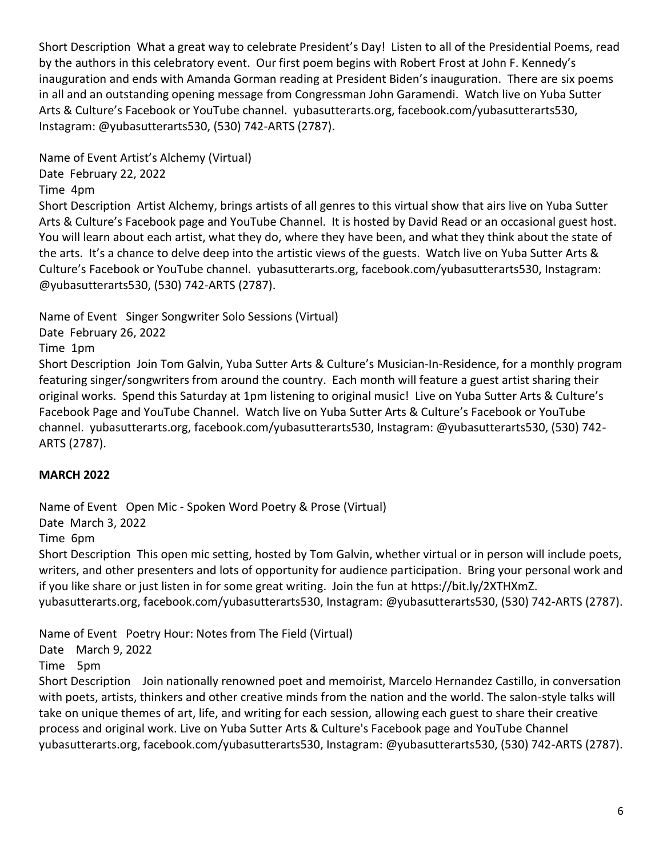Short Description What a great way to celebrate President's Day! Listen to all of the Presidential Poems, read by the authors in this celebratory event. Our first poem begins with Robert Frost at John F. Kennedy's inauguration and ends with Amanda Gorman reading at President Biden's inauguration. There are six poems in all and an outstanding opening message from Congressman John Garamendi. Watch live on Yuba Sutter Arts & Culture's Facebook or YouTube channel. yubasutterarts.org, facebook.com/yubasutterarts530, Instagram: @yubasutterarts530, (530) 742-ARTS (2787).

Name of Event Artist's Alchemy (Virtual) Date February 22, 2022 Time 4pm

Short Description Artist Alchemy, brings artists of all genres to this virtual show that airs live on Yuba Sutter Arts & Culture's Facebook page and YouTube Channel. It is hosted by David Read or an occasional guest host. You will learn about each artist, what they do, where they have been, and what they think about the state of the arts. It's a chance to delve deep into the artistic views of the guests. Watch live on Yuba Sutter Arts & Culture's Facebook or YouTube channel. yubasutterarts.org, facebook.com/yubasutterarts530, Instagram: @yubasutterarts530, (530) 742-ARTS (2787).

Name of Event Singer Songwriter Solo Sessions (Virtual)

Date February 26, 2022

Time 1pm

Short Description Join Tom Galvin, Yuba Sutter Arts & Culture's Musician-In-Residence, for a monthly program featuring singer/songwriters from around the country. Each month will feature a guest artist sharing their original works. Spend this Saturday at 1pm listening to original music! Live on Yuba Sutter Arts & Culture's Facebook Page and YouTube Channel. Watch live on Yuba Sutter Arts & Culture's Facebook or YouTube channel. yubasutterarts.org, facebook.com/yubasutterarts530, Instagram: @yubasutterarts530, (530) 742- ARTS (2787).

# **MARCH 2022**

Name of Event Open Mic - Spoken Word Poetry & Prose (Virtual)

Date March 3, 2022

Time 6pm

Short Description This open mic setting, hosted by Tom Galvin, whether virtual or in person will include poets, writers, and other presenters and lots of opportunity for audience participation. Bring your personal work and if you like share or just listen in for some great writing. Join the fun at [https://bit.ly/2XTHXmZ.](https://bit.ly/2XTHXmZ) yubasutterarts.org, facebook.com/yubasutterarts530, Instagram: @yubasutterarts530, (530) 742-ARTS (2787).

Name of Event Poetry Hour: Notes from The Field (Virtual)

Date March 9, 2022

Time 5pm

Short Description Join nationally renowned poet and memoirist, Marcelo Hernandez Castillo, in conversation with poets, artists, thinkers and other creative minds from the nation and the world. The salon-style talks will take on unique themes of art, life, and writing for each session, allowing each guest to share their creative process and original work. Live on Yuba Sutter Arts & Culture's Facebook page and YouTube Channel yubasutterarts.org, facebook.com/yubasutterarts530, Instagram: @yubasutterarts530, (530) 742-ARTS (2787).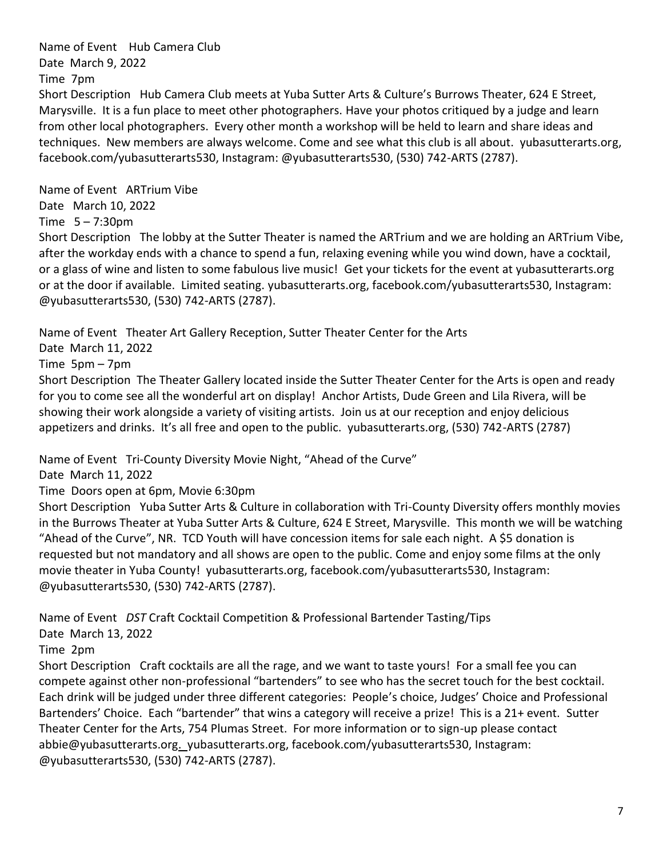Name of Event Hub Camera Club Date March 9, 2022 Time 7pm

Short Description Hub Camera Club meets at Yuba Sutter Arts & Culture's Burrows Theater, 624 E Street, Marysville. It is a fun place to meet other photographers. Have your photos critiqued by a judge and learn from other local photographers. Every other month a workshop will be held to learn and share ideas and techniques. New members are always welcome. Come and see what this club is all about. yubasutterarts.org, facebook.com/yubasutterarts530, Instagram: @yubasutterarts530, (530) 742-ARTS (2787).

Name of Event ARTrium Vibe

Date March 10, 2022

Time 5 – 7:30pm

Short Description The lobby at the Sutter Theater is named the ARTrium and we are holding an ARTrium Vibe, after the workday ends with a chance to spend a fun, relaxing evening while you wind down, have a cocktail, or a glass of wine and listen to some fabulous live music! Get your tickets for the event at yubasutterarts.org or at the door if available. Limited seating. yubasutterarts.org, facebook.com/yubasutterarts530, Instagram: @yubasutterarts530, (530) 742-ARTS (2787).

Name of Event Theater Art Gallery Reception, Sutter Theater Center for the Arts

Date March 11, 2022

Time 5pm – 7pm

Short Description The Theater Gallery located inside the Sutter Theater Center for the Arts is open and ready for you to come see all the wonderful art on display! Anchor Artists, Dude Green and Lila Rivera, will be showing their work alongside a variety of visiting artists. Join us at our reception and enjoy delicious appetizers and drinks. It's all free and open to the public. yubasutterarts.org, (530) 742-ARTS (2787)

Name of Event Tri-County Diversity Movie Night, "Ahead of the Curve"

Date March 11, 2022

Time Doors open at 6pm, Movie 6:30pm

Short Description Yuba Sutter Arts & Culture in collaboration with Tri-County Diversity offers monthly movies in the Burrows Theater at Yuba Sutter Arts & Culture, 624 E Street, Marysville. This month we will be watching "Ahead of the Curve", NR. TCD Youth will have concession items for sale each night. A \$5 donation is requested but not mandatory and all shows are open to the public. Come and enjoy some films at the only movie theater in Yuba County! yubasutterarts.org, facebook.com/yubasutterarts530, Instagram: @yubasutterarts530, (530) 742-ARTS (2787).

Name of Event *DST* Craft Cocktail Competition & Professional Bartender Tasting/Tips Date March 13, 2022

Time 2pm

Short Description Craft cocktails are all the rage, and we want to taste yours! For a small fee you can compete against other non-professional "bartenders" to see who has the secret touch for the best cocktail. Each drink will be judged under three different categories: People's choice, Judges' Choice and Professional Bartenders' Choice. Each "bartender" that wins a category will receive a prize! This is a 21+ event. Sutter Theater Center for the Arts, 754 Plumas Street. For more information or to sign-up please contact [abbie@yubasutterarts.org.](mailto:abbie@yubasutterarts.org) yubasutterarts.org, facebook.com/yubasutterarts530, Instagram: @yubasutterarts530, (530) 742-ARTS (2787).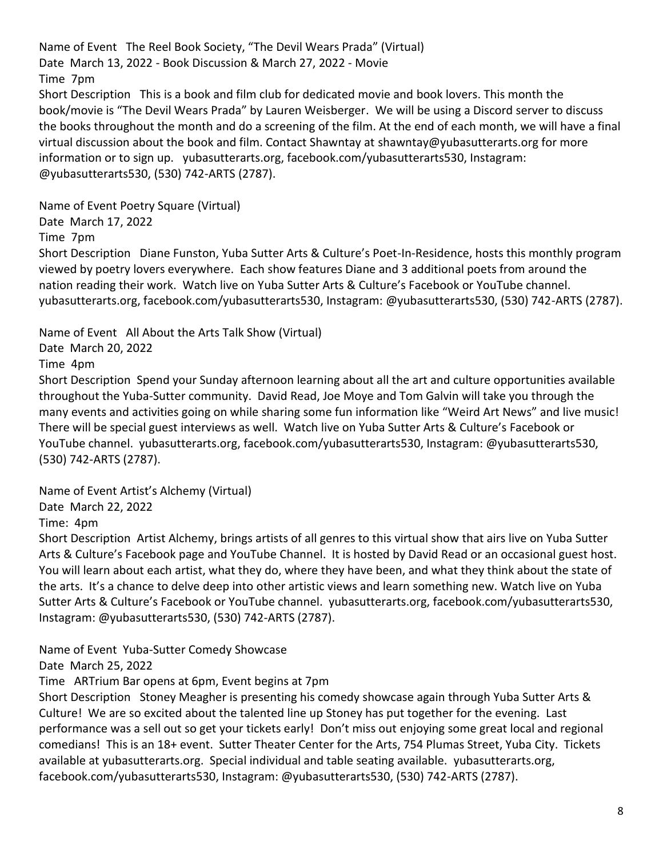Name of Event The Reel Book Society, "The Devil Wears Prada" (Virtual) Date March 13, 2022 - Book Discussion & March 27, 2022 - Movie Time 7pm Short Description This is a book and film club for dedicated movie and book lovers. This month the book/movie is "The Devil Wears Prada" by Lauren Weisberger. We will be using a Discord server to discuss the books throughout the month and do a screening of the film. At the end of each month, we will have a final virtual discussion about the book and film. Contact Shawntay at [shawntay@yubasutterarts.org](mailto:shawntay@yubasutterarts.org) for more information or to sign up. yubasutterarts.org, facebook.com/yubasutterarts530, Instagram: @yubasutterarts530, (530) 742-ARTS (2787).

Name of Event Poetry Square (Virtual)

Date March 17, 2022

Time 7pm

Short Description Diane Funston, Yuba Sutter Arts & Culture's Poet-In-Residence, hosts this monthly program viewed by poetry lovers everywhere. Each show features Diane and 3 additional poets from around the nation reading their work. Watch live on Yuba Sutter Arts & Culture's Facebook or YouTube channel. yubasutterarts.org, facebook.com/yubasutterarts530, Instagram: @yubasutterarts530, (530) 742-ARTS (2787).

Name of Event All About the Arts Talk Show (Virtual)

Date March 20, 2022

Time 4pm

Short Description Spend your Sunday afternoon learning about all the art and culture opportunities available throughout the Yuba-Sutter community. David Read, Joe Moye and Tom Galvin will take you through the many events and activities going on while sharing some fun information like "Weird Art News" and live music! There will be special guest interviews as well. Watch live on Yuba Sutter Arts & Culture's Facebook or YouTube channel. yubasutterarts.org, facebook.com/yubasutterarts530, Instagram: @yubasutterarts530, (530) 742-ARTS (2787).

Name of Event Artist's Alchemy (Virtual)

Date March 22, 2022

Time: 4pm

Short Description Artist Alchemy, brings artists of all genres to this virtual show that airs live on Yuba Sutter Arts & Culture's Facebook page and YouTube Channel. It is hosted by David Read or an occasional guest host. You will learn about each artist, what they do, where they have been, and what they think about the state of the arts. It's a chance to delve deep into other artistic views and learn something new. Watch live on Yuba Sutter Arts & Culture's Facebook or YouTube channel. yubasutterarts.org, facebook.com/yubasutterarts530, Instagram: @yubasutterarts530, (530) 742-ARTS (2787).

Name of Event Yuba-Sutter Comedy Showcase Date March 25, 2022

Time ARTrium Bar opens at 6pm, Event begins at 7pm

Short Description Stoney Meagher is presenting his comedy showcase again through Yuba Sutter Arts & Culture! We are so excited about the talented line up Stoney has put together for the evening. Last performance was a sell out so get your tickets early! Don't miss out enjoying some great local and regional comedians! This is an 18+ event. Sutter Theater Center for the Arts, 754 Plumas Street, Yuba City. Tickets available at yubasutterarts.org. Special individual and table seating available. yubasutterarts.org, facebook.com/yubasutterarts530, Instagram: @yubasutterarts530, (530) 742-ARTS (2787).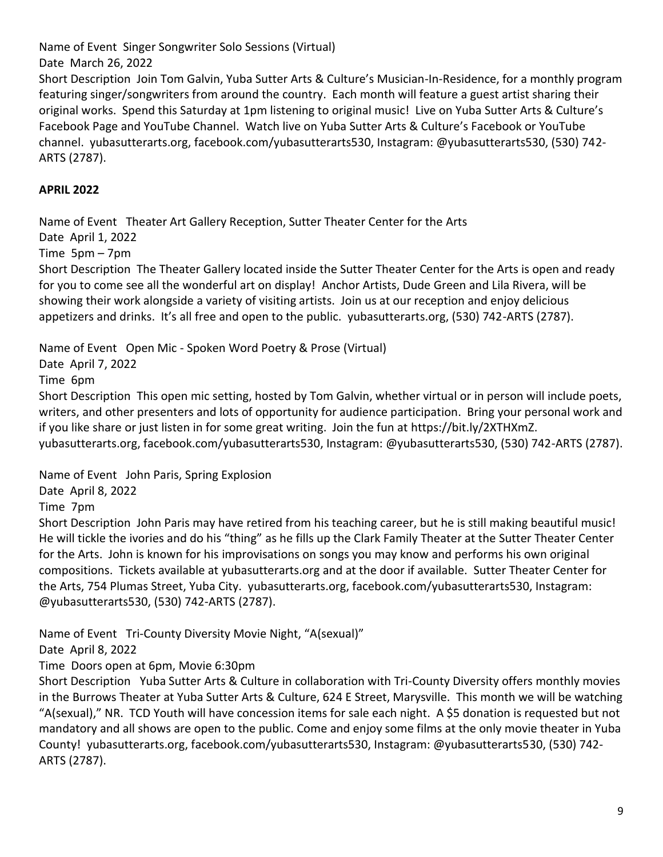Name of Event Singer Songwriter Solo Sessions (Virtual)

Date March 26, 2022

Short Description Join Tom Galvin, Yuba Sutter Arts & Culture's Musician-In-Residence, for a monthly program featuring singer/songwriters from around the country. Each month will feature a guest artist sharing their original works. Spend this Saturday at 1pm listening to original music! Live on Yuba Sutter Arts & Culture's Facebook Page and YouTube Channel. Watch live on Yuba Sutter Arts & Culture's Facebook or YouTube channel. yubasutterarts.org, facebook.com/yubasutterarts530, Instagram: @yubasutterarts530, (530) 742- ARTS (2787).

# **APRIL 2022**

Name of Event Theater Art Gallery Reception, Sutter Theater Center for the Arts

Date April 1, 2022

Time 5pm – 7pm

Short Description The Theater Gallery located inside the Sutter Theater Center for the Arts is open and ready for you to come see all the wonderful art on display! Anchor Artists, Dude Green and Lila Rivera, will be showing their work alongside a variety of visiting artists. Join us at our reception and enjoy delicious appetizers and drinks. It's all free and open to the public. yubasutterarts.org, (530) 742-ARTS (2787).

Name of Event Open Mic - Spoken Word Poetry & Prose (Virtual)

Date April 7, 2022

Time 6pm

Short Description This open mic setting, hosted by Tom Galvin, whether virtual or in person will include poets, writers, and other presenters and lots of opportunity for audience participation. Bring your personal work and if you like share or just listen in for some great writing. Join the fun at [https://bit.ly/2XTHXmZ.](https://bit.ly/2XTHXmZ) yubasutterarts.org, facebook.com/yubasutterarts530, Instagram: @yubasutterarts530, (530) 742-ARTS (2787).

Name of Event John Paris, Spring Explosion

Date April 8, 2022

Time 7pm

Short Description John Paris may have retired from his teaching career, but he is still making beautiful music! He will tickle the ivories and do his "thing" as he fills up the Clark Family Theater at the Sutter Theater Center for the Arts. John is known for his improvisations on songs you may know and performs his own original compositions. Tickets available at yubasutterarts.org and at the door if available. Sutter Theater Center for the Arts, 754 Plumas Street, Yuba City. yubasutterarts.org, facebook.com/yubasutterarts530, Instagram: @yubasutterarts530, (530) 742-ARTS (2787).

Name of Event Tri-County Diversity Movie Night, "A(sexual)"

Date April 8, 2022

Time Doors open at 6pm, Movie 6:30pm

Short Description Yuba Sutter Arts & Culture in collaboration with Tri-County Diversity offers monthly movies in the Burrows Theater at Yuba Sutter Arts & Culture, 624 E Street, Marysville. This month we will be watching "A(sexual)," NR. TCD Youth will have concession items for sale each night. A \$5 donation is requested but not mandatory and all shows are open to the public. Come and enjoy some films at the only movie theater in Yuba County! yubasutterarts.org, facebook.com/yubasutterarts530, Instagram: @yubasutterarts530, (530) 742- ARTS (2787).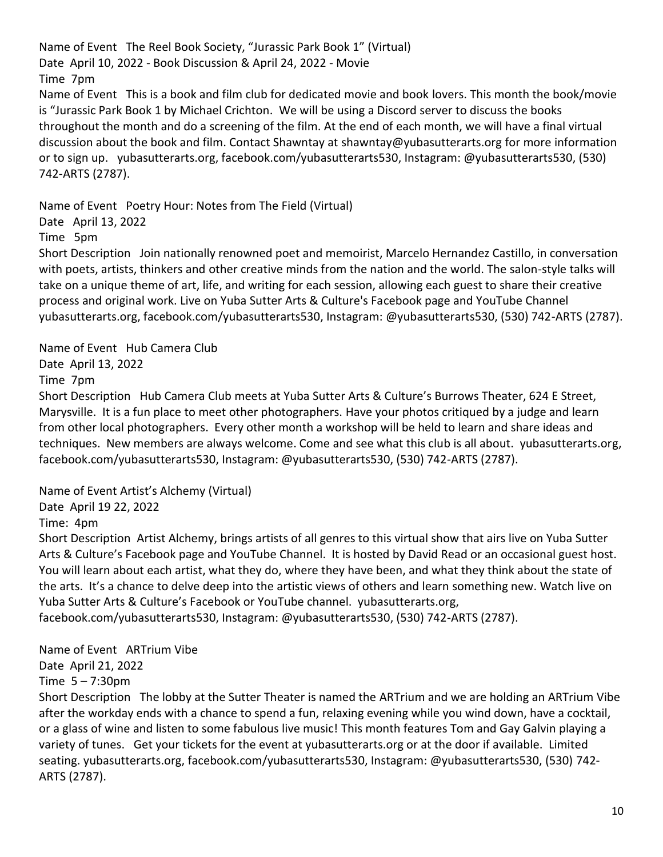Name of Event The Reel Book Society, "Jurassic Park Book 1" (Virtual) Date April 10, 2022 - Book Discussion & April 24, 2022 - Movie Time 7pm Name of Event This is a book and film club for dedicated movie and book lovers. This month the book/movie is "Jurassic Park Book 1 by Michael Crichton. We will be using a Discord server to discuss the books throughout the month and do a screening of the film. At the end of each month, we will have a final virtual discussion about the book and film. Contact Shawntay at [shawntay@yubasutterarts.org](mailto:shawtay@yubasutterarts.org) for more information or to sign up. yubasutterarts.org, facebook.com/yubasutterarts530, Instagram: @yubasutterarts530, (530) 742-ARTS (2787).

Name of Event Poetry Hour: Notes from The Field (Virtual)

Date April 13, 2022

Time 5pm

Short Description Join nationally renowned poet and memoirist, Marcelo Hernandez Castillo, in conversation with poets, artists, thinkers and other creative minds from the nation and the world. The salon-style talks will take on a unique theme of art, life, and writing for each session, allowing each guest to share their creative process and original work. Live on Yuba Sutter Arts & Culture's Facebook page and YouTube Channel yubasutterarts.org, facebook.com/yubasutterarts530, Instagram: @yubasutterarts530, (530) 742-ARTS (2787).

Name of Event Hub Camera Club Date April 13, 2022

Time 7pm

Short Description Hub Camera Club meets at Yuba Sutter Arts & Culture's Burrows Theater, 624 E Street, Marysville. It is a fun place to meet other photographers. Have your photos critiqued by a judge and learn from other local photographers. Every other month a workshop will be held to learn and share ideas and techniques. New members are always welcome. Come and see what this club is all about. yubasutterarts.org, facebook.com/yubasutterarts530, Instagram: @yubasutterarts530, (530) 742-ARTS (2787).

Name of Event Artist's Alchemy (Virtual)

Date April 19 22, 2022

Time: 4pm

Short Description Artist Alchemy, brings artists of all genres to this virtual show that airs live on Yuba Sutter Arts & Culture's Facebook page and YouTube Channel. It is hosted by David Read or an occasional guest host. You will learn about each artist, what they do, where they have been, and what they think about the state of the arts. It's a chance to delve deep into the artistic views of others and learn something new. Watch live on Yuba Sutter Arts & Culture's Facebook or YouTube channel. yubasutterarts.org,

facebook.com/yubasutterarts530, Instagram: @yubasutterarts530, (530) 742-ARTS (2787).

Name of Event ARTrium Vibe

Date April 21, 2022

Time 5 – 7:30pm

Short Description The lobby at the Sutter Theater is named the ARTrium and we are holding an ARTrium Vibe after the workday ends with a chance to spend a fun, relaxing evening while you wind down, have a cocktail, or a glass of wine and listen to some fabulous live music! This month features Tom and Gay Galvin playing a variety of tunes. Get your tickets for the event at yubasutterarts.org or at the door if available. Limited seating. yubasutterarts.org, facebook.com/yubasutterarts530, Instagram: @yubasutterarts530, (530) 742- ARTS (2787).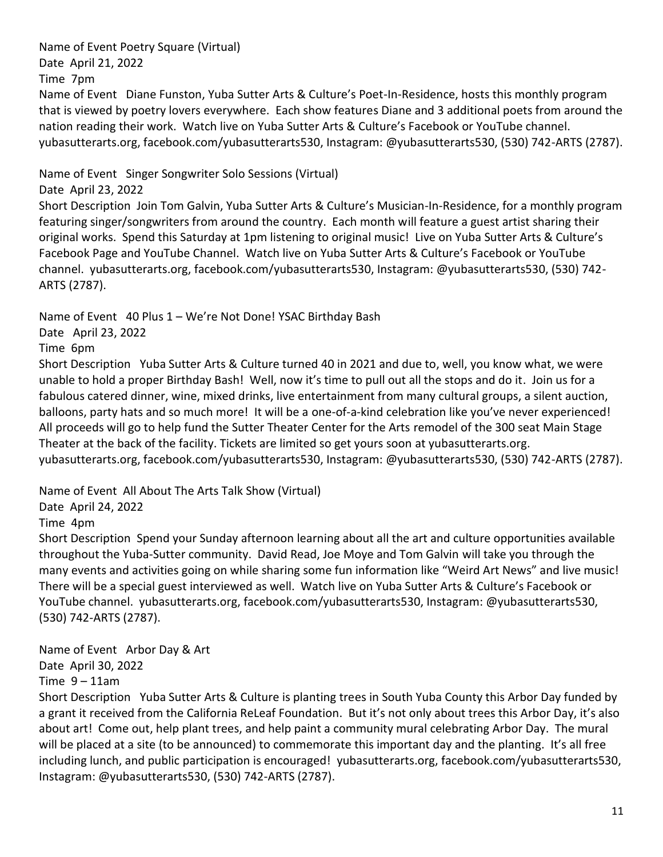Name of Event Poetry Square (Virtual) Date April 21, 2022

Time 7pm

Name of Event Diane Funston, Yuba Sutter Arts & Culture's Poet-In-Residence, hosts this monthly program that is viewed by poetry lovers everywhere. Each show features Diane and 3 additional poets from around the nation reading their work. Watch live on Yuba Sutter Arts & Culture's Facebook or YouTube channel. yubasutterarts.org, facebook.com/yubasutterarts530, Instagram: @yubasutterarts530, (530) 742-ARTS (2787).

Name of Event Singer Songwriter Solo Sessions (Virtual)

Date April 23, 2022

Short Description Join Tom Galvin, Yuba Sutter Arts & Culture's Musician-In-Residence, for a monthly program featuring singer/songwriters from around the country. Each month will feature a guest artist sharing their original works. Spend this Saturday at 1pm listening to original music! Live on Yuba Sutter Arts & Culture's Facebook Page and YouTube Channel. Watch live on Yuba Sutter Arts & Culture's Facebook or YouTube channel. yubasutterarts.org, facebook.com/yubasutterarts530, Instagram: @yubasutterarts530, (530) 742- ARTS (2787).

Name of Event 40 Plus 1 – We're Not Done! YSAC Birthday Bash

Date April 23, 2022

Time 6pm

Short Description Yuba Sutter Arts & Culture turned 40 in 2021 and due to, well, you know what, we were unable to hold a proper Birthday Bash! Well, now it's time to pull out all the stops and do it. Join us for a fabulous catered dinner, wine, mixed drinks, live entertainment from many cultural groups, a silent auction, balloons, party hats and so much more! It will be a one-of-a-kind celebration like you've never experienced! All proceeds will go to help fund the Sutter Theater Center for the Arts remodel of the 300 seat Main Stage Theater at the back of the facility. Tickets are limited so get yours soon at yubasutterarts.org. yubasutterarts.org, facebook.com/yubasutterarts530, Instagram: @yubasutterarts530, (530) 742-ARTS (2787).

Name of Event All About The Arts Talk Show (Virtual)

Date April 24, 2022

Time 4pm

Short Description Spend your Sunday afternoon learning about all the art and culture opportunities available throughout the Yuba-Sutter community. David Read, Joe Moye and Tom Galvin will take you through the many events and activities going on while sharing some fun information like "Weird Art News" and live music! There will be a special guest interviewed as well. Watch live on Yuba Sutter Arts & Culture's Facebook or YouTube channel. yubasutterarts.org, facebook.com/yubasutterarts530, Instagram: @yubasutterarts530, (530) 742-ARTS (2787).

Name of Event Arbor Day & Art Date April 30, 2022 Time  $9 - 11$ am

Short Description Yuba Sutter Arts & Culture is planting trees in South Yuba County this Arbor Day funded by a grant it received from the California ReLeaf Foundation. But it's not only about trees this Arbor Day, it's also about art! Come out, help plant trees, and help paint a community mural celebrating Arbor Day. The mural will be placed at a site (to be announced) to commemorate this important day and the planting. It's all free including lunch, and public participation is encouraged! yubasutterarts.org, facebook.com/yubasutterarts530, Instagram: @yubasutterarts530, (530) 742-ARTS (2787).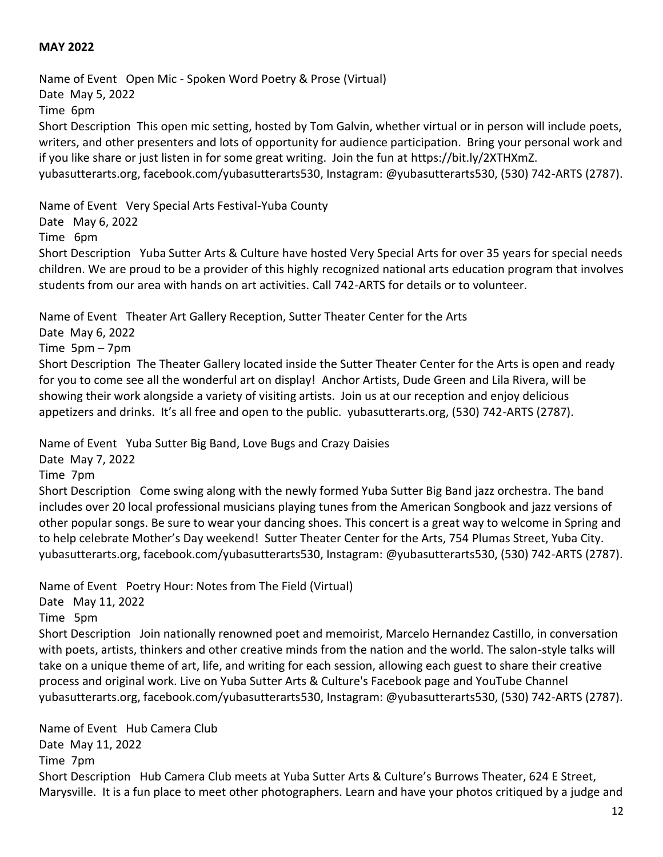#### **MAY 2022**

Name of Event Open Mic - Spoken Word Poetry & Prose (Virtual) Date May 5, 2022 Time 6pm Short Description This open mic setting, hosted by Tom Galvin, whether virtual or in person will include poets, writers, and other presenters and lots of opportunity for audience participation. Bring your personal work and if you like share or just listen in for some great writing. Join the fun at [https://bit.ly/2XTHXmZ.](https://bit.ly/2XTHXmZ) yubasutterarts.org, facebook.com/yubasutterarts530, Instagram: @yubasutterarts530, (530) 742-ARTS (2787).

Name of Event Very Special Arts Festival-Yuba County

Date May 6, 2022

Time 6pm

Short Description Yuba Sutter Arts & Culture have hosted Very Special Arts for over 35 years for special needs children. We are proud to be a provider of this highly recognized national arts education program that involves students from our area with hands on art activities. Call 742-ARTS for details or to volunteer.

Name of Event Theater Art Gallery Reception, Sutter Theater Center for the Arts

Date May 6, 2022

Time 5pm – 7pm

Short Description The Theater Gallery located inside the Sutter Theater Center for the Arts is open and ready for you to come see all the wonderful art on display! Anchor Artists, Dude Green and Lila Rivera, will be showing their work alongside a variety of visiting artists. Join us at our reception and enjoy delicious appetizers and drinks. It's all free and open to the public. yubasutterarts.org, (530) 742-ARTS (2787).

Name of Event Yuba Sutter Big Band, Love Bugs and Crazy Daisies

Date May 7, 2022

Time 7pm

Short Description Come swing along with the newly formed Yuba Sutter Big Band jazz orchestra. The band includes over 20 local professional musicians playing tunes from the American Songbook and jazz versions of other popular songs. Be sure to wear your dancing shoes. This concert is a great way to welcome in Spring and to help celebrate Mother's Day weekend! Sutter Theater Center for the Arts, 754 Plumas Street, Yuba City. yubasutterarts.org, facebook.com/yubasutterarts530, Instagram: @yubasutterarts530, (530) 742-ARTS (2787).

Name of Event Poetry Hour: Notes from The Field (Virtual)

Date May 11, 2022

Time 5pm

Short Description Join nationally renowned poet and memoirist, Marcelo Hernandez Castillo, in conversation with poets, artists, thinkers and other creative minds from the nation and the world. The salon-style talks will take on a unique theme of art, life, and writing for each session, allowing each guest to share their creative process and original work. Live on Yuba Sutter Arts & Culture's Facebook page and YouTube Channel yubasutterarts.org, facebook.com/yubasutterarts530, Instagram: @yubasutterarts530, (530) 742-ARTS (2787).

Name of Event Hub Camera Club Date May 11, 2022 Time 7pm Short Description Hub Camera Club meets at Yuba Sutter Arts & Culture's Burrows Theater, 624 E Street, Marysville. It is a fun place to meet other photographers. Learn and have your photos critiqued by a judge and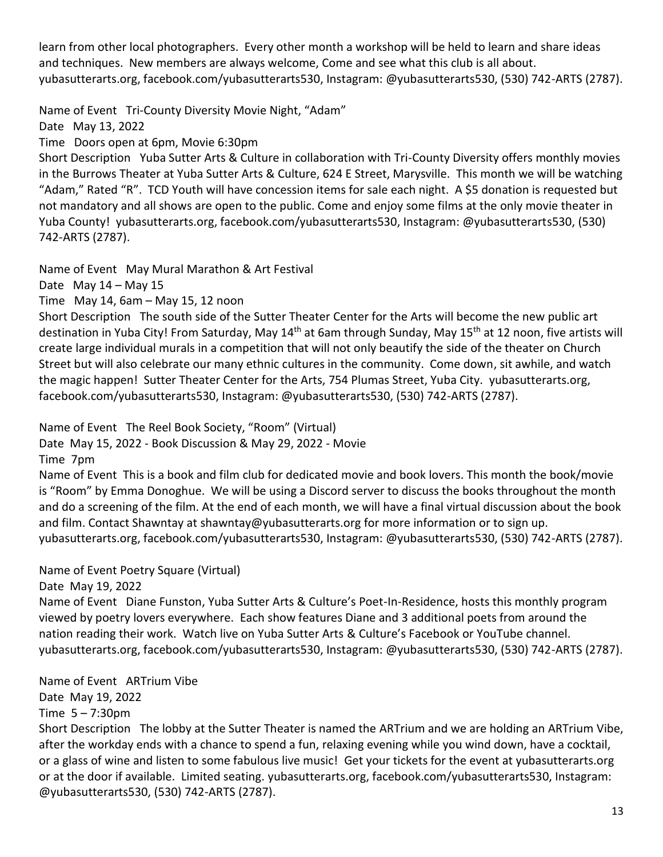learn from other local photographers. Every other month a workshop will be held to learn and share ideas and techniques. New members are always welcome, Come and see what this club is all about. yubasutterarts.org, facebook.com/yubasutterarts530, Instagram: @yubasutterarts530, (530) 742-ARTS (2787).

Name of Event Tri-County Diversity Movie Night, "Adam"

Date May 13, 2022

Time Doors open at 6pm, Movie 6:30pm

Short Description Yuba Sutter Arts & Culture in collaboration with Tri-County Diversity offers monthly movies in the Burrows Theater at Yuba Sutter Arts & Culture, 624 E Street, Marysville. This month we will be watching "Adam," Rated "R". TCD Youth will have concession items for sale each night. A \$5 donation is requested but not mandatory and all shows are open to the public. Come and enjoy some films at the only movie theater in Yuba County! yubasutterarts.org, facebook.com/yubasutterarts530, Instagram: @yubasutterarts530, (530) 742-ARTS (2787).

Name of Event May Mural Marathon & Art Festival

Date May 14 – May 15

Time May 14, 6am – May 15, 12 noon

Short Description The south side of the Sutter Theater Center for the Arts will become the new public art destination in Yuba City! From Saturday, May 14<sup>th</sup> at 6am through Sunday, May 15<sup>th</sup> at 12 noon, five artists will create large individual murals in a competition that will not only beautify the side of the theater on Church Street but will also celebrate our many ethnic cultures in the community. Come down, sit awhile, and watch the magic happen! Sutter Theater Center for the Arts, 754 Plumas Street, Yuba City. yubasutterarts.org, facebook.com/yubasutterarts530, Instagram: @yubasutterarts530, (530) 742-ARTS (2787).

Name of Event The Reel Book Society, "Room" (Virtual)

Date May 15, 2022 - Book Discussion & May 29, 2022 - Movie Time 7pm

Name of Event This is a book and film club for dedicated movie and book lovers. This month the book/movie is "Room" by Emma Donoghue. We will be using a Discord server to discuss the books throughout the month and do a screening of the film. At the end of each month, we will have a final virtual discussion about the book and film. Contact Shawntay at [shawntay@yubasutterarts.org](mailto:shawtay@yubasutterarts.org) for more information or to sign up. yubasutterarts.org, facebook.com/yubasutterarts530, Instagram: @yubasutterarts530, (530) 742-ARTS (2787).

Name of Event Poetry Square (Virtual)

Date May 19, 2022

Name of Event Diane Funston, Yuba Sutter Arts & Culture's Poet-In-Residence, hosts this monthly program viewed by poetry lovers everywhere. Each show features Diane and 3 additional poets from around the nation reading their work. Watch live on Yuba Sutter Arts & Culture's Facebook or YouTube channel. yubasutterarts.org, facebook.com/yubasutterarts530, Instagram: @yubasutterarts530, (530) 742-ARTS (2787).

Name of Event ARTrium Vibe Date May 19, 2022 Time 5 – 7:30pm

Short Description The lobby at the Sutter Theater is named the ARTrium and we are holding an ARTrium Vibe, after the workday ends with a chance to spend a fun, relaxing evening while you wind down, have a cocktail, or a glass of wine and listen to some fabulous live music! Get your tickets for the event at yubasutterarts.org or at the door if available. Limited seating. yubasutterarts.org, facebook.com/yubasutterarts530, Instagram: @yubasutterarts530, (530) 742-ARTS (2787).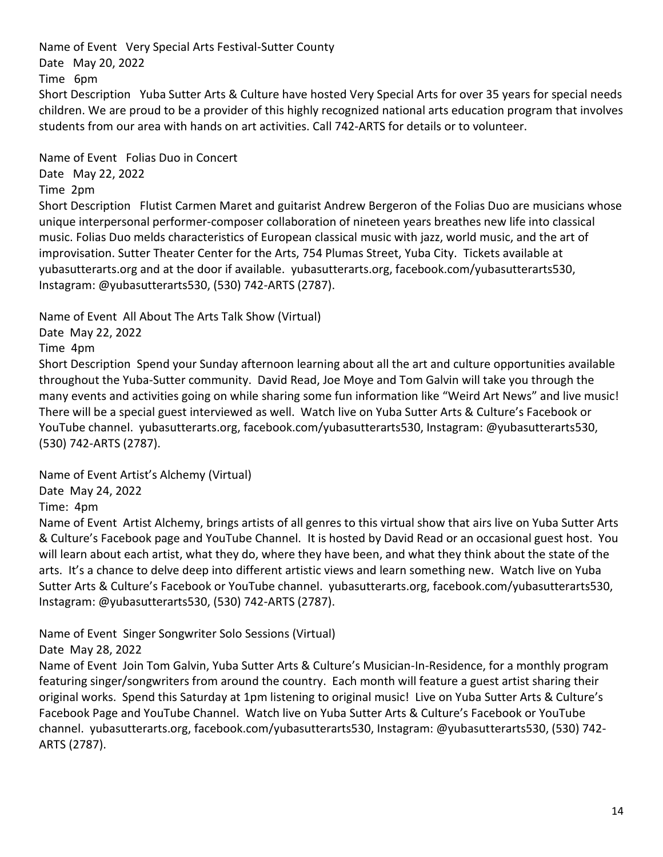Name of Event Very Special Arts Festival-Sutter County Date May 20, 2022 Time 6pm Short Description Yuba Sutter Arts & Culture have hosted Very Special Arts for over 35 years for special needs children. We are proud to be a provider of this highly recognized national arts education program that involves students from our area with hands on art activities. Call 742-ARTS for details or to volunteer.

Name of Event Folias Duo in Concert

Date May 22, 2022

Time 2pm

Short Description Flutist Carmen Maret and guitarist Andrew Bergeron of the Folias Duo are musicians whose unique interpersonal performer-composer collaboration of nineteen years breathes new life into classical music. Folias Duo melds characteristics of European classical music with jazz, world music, and the art of improvisation. Sutter Theater Center for the Arts, 754 Plumas Street, Yuba City. Tickets available at yubasutterarts.org and at the door if available. yubasutterarts.org, facebook.com/yubasutterarts530, Instagram: @yubasutterarts530, (530) 742-ARTS (2787).

Name of Event All About The Arts Talk Show (Virtual)

Date May 22, 2022

Time 4pm

Short Description Spend your Sunday afternoon learning about all the art and culture opportunities available throughout the Yuba-Sutter community. David Read, Joe Moye and Tom Galvin will take you through the many events and activities going on while sharing some fun information like "Weird Art News" and live music! There will be a special guest interviewed as well. Watch live on Yuba Sutter Arts & Culture's Facebook or YouTube channel. yubasutterarts.org, facebook.com/yubasutterarts530, Instagram: @yubasutterarts530, (530) 742-ARTS (2787).

Name of Event Artist's Alchemy (Virtual)

Date May 24, 2022

Time: 4pm

Name of Event Artist Alchemy, brings artists of all genres to this virtual show that airs live on Yuba Sutter Arts & Culture's Facebook page and YouTube Channel. It is hosted by David Read or an occasional guest host. You will learn about each artist, what they do, where they have been, and what they think about the state of the arts. It's a chance to delve deep into different artistic views and learn something new. Watch live on Yuba Sutter Arts & Culture's Facebook or YouTube channel. yubasutterarts.org, facebook.com/yubasutterarts530, Instagram: @yubasutterarts530, (530) 742-ARTS (2787).

Name of Event Singer Songwriter Solo Sessions (Virtual)

Date May 28, 2022

Name of Event Join Tom Galvin, Yuba Sutter Arts & Culture's Musician-In-Residence, for a monthly program featuring singer/songwriters from around the country. Each month will feature a guest artist sharing their original works. Spend this Saturday at 1pm listening to original music! Live on Yuba Sutter Arts & Culture's Facebook Page and YouTube Channel. Watch live on Yuba Sutter Arts & Culture's Facebook or YouTube channel. yubasutterarts.org, facebook.com/yubasutterarts530, Instagram: @yubasutterarts530, (530) 742- ARTS (2787).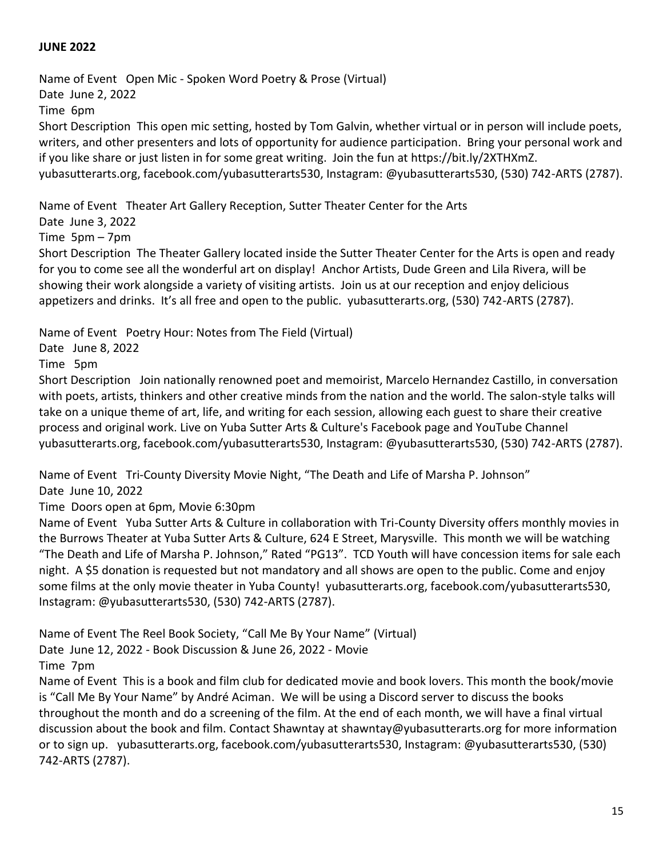### **JUNE 2022**

Name of Event Open Mic - Spoken Word Poetry & Prose (Virtual) Date June 2, 2022 Time 6pm Short Description This open mic setting, hosted by Tom Galvin, whether virtual or in person will include poets, writers, and other presenters and lots of opportunity for audience participation. Bring your personal work and if you like share or just listen in for some great writing. Join the fun at [https://bit.ly/2XTHXmZ.](https://bit.ly/2XTHXmZ) yubasutterarts.org, facebook.com/yubasutterarts530, Instagram: @yubasutterarts530, (530) 742-ARTS (2787).

Name of Event Theater Art Gallery Reception, Sutter Theater Center for the Arts

Date June 3, 2022

Time 5pm – 7pm

Short Description The Theater Gallery located inside the Sutter Theater Center for the Arts is open and ready for you to come see all the wonderful art on display! Anchor Artists, Dude Green and Lila Rivera, will be showing their work alongside a variety of visiting artists. Join us at our reception and enjoy delicious appetizers and drinks. It's all free and open to the public. yubasutterarts.org, (530) 742-ARTS (2787).

Name of Event Poetry Hour: Notes from The Field (Virtual)

Date June 8, 2022

Time 5pm

Short Description Join nationally renowned poet and memoirist, Marcelo Hernandez Castillo, in conversation with poets, artists, thinkers and other creative minds from the nation and the world. The salon-style talks will take on a unique theme of art, life, and writing for each session, allowing each guest to share their creative process and original work. Live on Yuba Sutter Arts & Culture's Facebook page and YouTube Channel yubasutterarts.org, facebook.com/yubasutterarts530, Instagram: @yubasutterarts530, (530) 742-ARTS (2787).

Name of Event Tri-County Diversity Movie Night, "The Death and Life of Marsha P. Johnson"

Date June 10, 2022

Time Doors open at 6pm, Movie 6:30pm

Name of Event Yuba Sutter Arts & Culture in collaboration with Tri-County Diversity offers monthly movies in the Burrows Theater at Yuba Sutter Arts & Culture, 624 E Street, Marysville. This month we will be watching "The Death and Life of Marsha P. Johnson," Rated "PG13". TCD Youth will have concession items for sale each night. A \$5 donation is requested but not mandatory and all shows are open to the public. Come and enjoy some films at the only movie theater in Yuba County! yubasutterarts.org, facebook.com/yubasutterarts530, Instagram: @yubasutterarts530, (530) 742-ARTS (2787).

Name of Event The Reel Book Society, "Call Me By Your Name" (Virtual)

Date June 12, 2022 - Book Discussion & June 26, 2022 - Movie

Time 7pm

Name of Event This is a book and film club for dedicated movie and book lovers. This month the book/movie is "Call Me By Your Name" by André Aciman. We will be using a Discord server to discuss the books throughout the month and do a screening of the film. At the end of each month, we will have a final virtual discussion about the book and film. Contact Shawntay at [shawntay@yubasutterarts.org](mailto:shawtay@yubasutterarts.org) for more information or to sign up. yubasutterarts.org, facebook.com/yubasutterarts530, Instagram: @yubasutterarts530, (530) 742-ARTS (2787).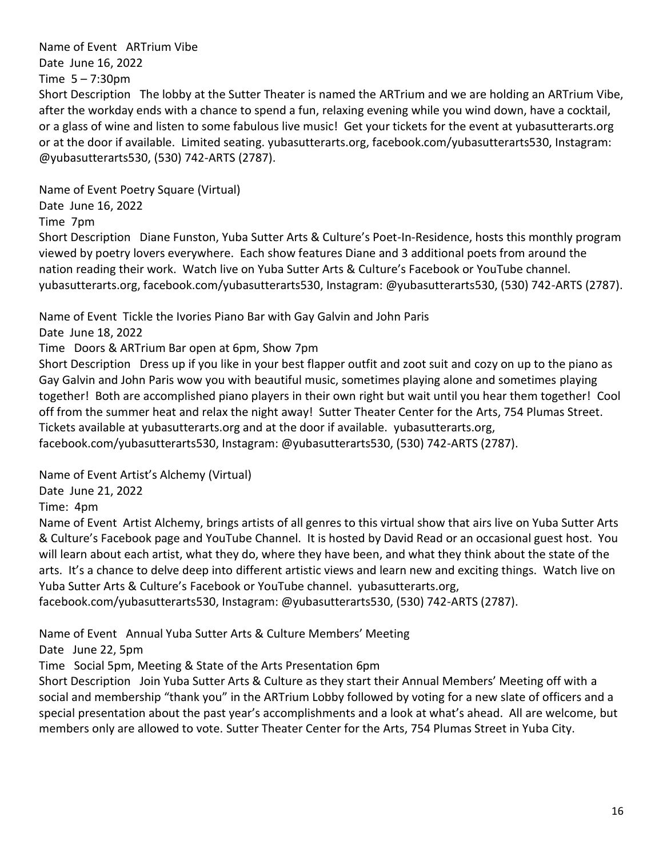Name of Event ARTrium Vibe

Date June 16, 2022

Time  $5 - 7:30$ pm

Short Description The lobby at the Sutter Theater is named the ARTrium and we are holding an ARTrium Vibe, after the workday ends with a chance to spend a fun, relaxing evening while you wind down, have a cocktail, or a glass of wine and listen to some fabulous live music! Get your tickets for the event at yubasutterarts.org or at the door if available. Limited seating. yubasutterarts.org, facebook.com/yubasutterarts530, Instagram: @yubasutterarts530, (530) 742-ARTS (2787).

Name of Event Poetry Square (Virtual)

Date June 16, 2022

Time 7pm

Short Description Diane Funston, Yuba Sutter Arts & Culture's Poet-In-Residence, hosts this monthly program viewed by poetry lovers everywhere. Each show features Diane and 3 additional poets from around the nation reading their work. Watch live on Yuba Sutter Arts & Culture's Facebook or YouTube channel. yubasutterarts.org, facebook.com/yubasutterarts530, Instagram: @yubasutterarts530, (530) 742-ARTS (2787).

Name of Event Tickle the Ivories Piano Bar with Gay Galvin and John Paris

Date June 18, 2022

Time Doors & ARTrium Bar open at 6pm, Show 7pm

Short Description Dress up if you like in your best flapper outfit and zoot suit and cozy on up to the piano as Gay Galvin and John Paris wow you with beautiful music, sometimes playing alone and sometimes playing together! Both are accomplished piano players in their own right but wait until you hear them together! Cool off from the summer heat and relax the night away! Sutter Theater Center for the Arts, 754 Plumas Street. Tickets available at yubasutterarts.org and at the door if available. yubasutterarts.org, facebook.com/yubasutterarts530, Instagram: @yubasutterarts530, (530) 742-ARTS (2787).

Name of Event Artist's Alchemy (Virtual)

Date June 21, 2022

Time: 4pm

Name of Event Artist Alchemy, brings artists of all genres to this virtual show that airs live on Yuba Sutter Arts & Culture's Facebook page and YouTube Channel. It is hosted by David Read or an occasional guest host. You will learn about each artist, what they do, where they have been, and what they think about the state of the arts. It's a chance to delve deep into different artistic views and learn new and exciting things. Watch live on Yuba Sutter Arts & Culture's Facebook or YouTube channel. yubasutterarts.org,

facebook.com/yubasutterarts530, Instagram: @yubasutterarts530, (530) 742-ARTS (2787).

Name of Event Annual Yuba Sutter Arts & Culture Members' Meeting

Date June 22, 5pm

Time Social 5pm, Meeting & State of the Arts Presentation 6pm

Short Description Join Yuba Sutter Arts & Culture as they start their Annual Members' Meeting off with a social and membership "thank you" in the ARTrium Lobby followed by voting for a new slate of officers and a special presentation about the past year's accomplishments and a look at what's ahead. All are welcome, but members only are allowed to vote. Sutter Theater Center for the Arts, 754 Plumas Street in Yuba City.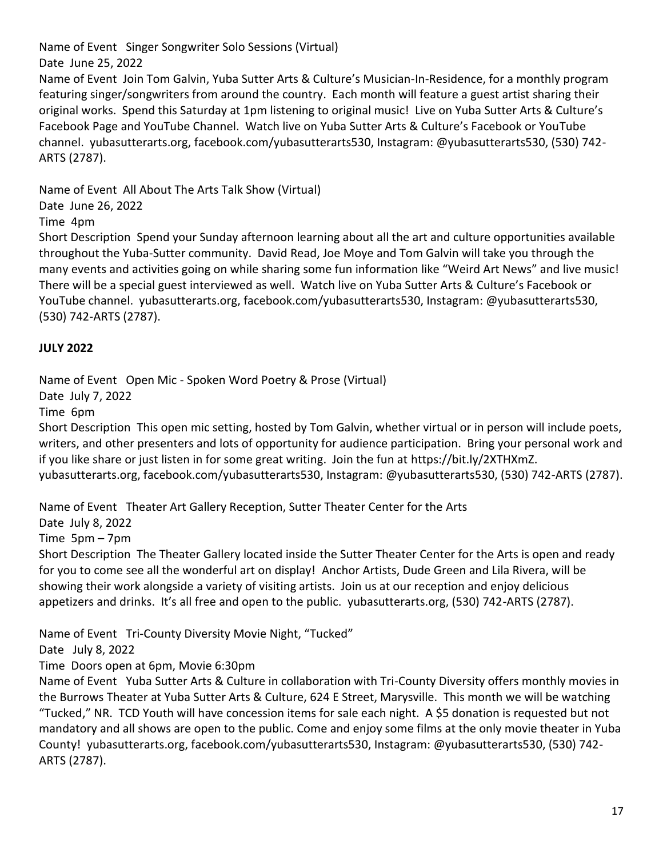Name of Event Singer Songwriter Solo Sessions (Virtual)

Date June 25, 2022

Name of Event Join Tom Galvin, Yuba Sutter Arts & Culture's Musician-In-Residence, for a monthly program featuring singer/songwriters from around the country. Each month will feature a guest artist sharing their original works. Spend this Saturday at 1pm listening to original music! Live on Yuba Sutter Arts & Culture's Facebook Page and YouTube Channel. Watch live on Yuba Sutter Arts & Culture's Facebook or YouTube channel. yubasutterarts.org, facebook.com/yubasutterarts530, Instagram: @yubasutterarts530, (530) 742- ARTS (2787).

Name of Event All About The Arts Talk Show (Virtual)

Date June 26, 2022

Time 4pm

Short Description Spend your Sunday afternoon learning about all the art and culture opportunities available throughout the Yuba-Sutter community. David Read, Joe Moye and Tom Galvin will take you through the many events and activities going on while sharing some fun information like "Weird Art News" and live music! There will be a special guest interviewed as well. Watch live on Yuba Sutter Arts & Culture's Facebook or YouTube channel. yubasutterarts.org, facebook.com/yubasutterarts530, Instagram: @yubasutterarts530, (530) 742-ARTS (2787).

# **JULY 2022**

Name of Event Open Mic - Spoken Word Poetry & Prose (Virtual)

Date July 7, 2022

Time 6pm

Short Description This open mic setting, hosted by Tom Galvin, whether virtual or in person will include poets, writers, and other presenters and lots of opportunity for audience participation. Bring your personal work and if you like share or just listen in for some great writing. Join the fun at [https://bit.ly/2XTHXmZ.](https://bit.ly/2XTHXmZ) yubasutterarts.org, facebook.com/yubasutterarts530, Instagram: @yubasutterarts530, (530) 742-ARTS (2787).

Name of Event Theater Art Gallery Reception, Sutter Theater Center for the Arts

Date July 8, 2022

Time 5pm – 7pm

Short Description The Theater Gallery located inside the Sutter Theater Center for the Arts is open and ready for you to come see all the wonderful art on display! Anchor Artists, Dude Green and Lila Rivera, will be showing their work alongside a variety of visiting artists. Join us at our reception and enjoy delicious appetizers and drinks. It's all free and open to the public. yubasutterarts.org, (530) 742-ARTS (2787).

Name of Event Tri-County Diversity Movie Night, "Tucked"

Date July 8, 2022

Time Doors open at 6pm, Movie 6:30pm

Name of Event Yuba Sutter Arts & Culture in collaboration with Tri-County Diversity offers monthly movies in the Burrows Theater at Yuba Sutter Arts & Culture, 624 E Street, Marysville. This month we will be watching "Tucked," NR. TCD Youth will have concession items for sale each night. A \$5 donation is requested but not mandatory and all shows are open to the public. Come and enjoy some films at the only movie theater in Yuba County! yubasutterarts.org, facebook.com/yubasutterarts530, Instagram: @yubasutterarts530, (530) 742- ARTS (2787).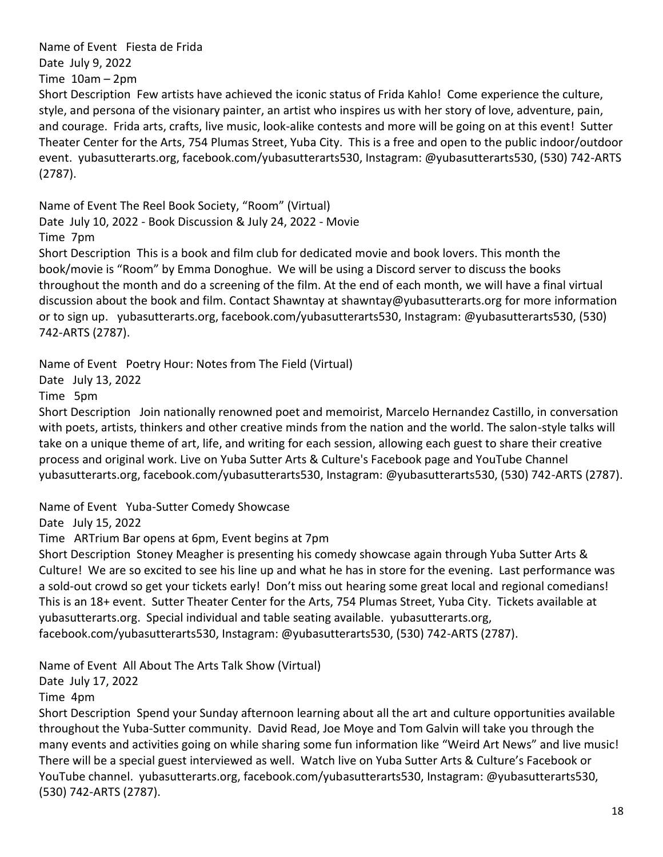Name of Event Fiesta de Frida

Date July 9, 2022

Time  $10am - 2pm$ 

Short Description Few artists have achieved the iconic status of Frida Kahlo! Come experience the culture, style, and persona of the visionary painter, an artist who inspires us with her story of love, adventure, pain, and courage. Frida arts, crafts, live music, look-alike contests and more will be going on at this event! Sutter Theater Center for the Arts, 754 Plumas Street, Yuba City. This is a free and open to the public indoor/outdoor event. yubasutterarts.org, facebook.com/yubasutterarts530, Instagram: @yubasutterarts530, (530) 742-ARTS (2787).

Name of Event The Reel Book Society, "Room" (Virtual) Date July 10, 2022 - Book Discussion & July 24, 2022 - Movie

Time 7pm

Short Description This is a book and film club for dedicated movie and book lovers. This month the book/movie is "Room" by Emma Donoghue. We will be using a Discord server to discuss the books throughout the month and do a screening of the film. At the end of each month, we will have a final virtual discussion about the book and film. Contact Shawntay at [shawntay@yubasutterarts.org](mailto:shawtay@yubasutterarts.org) for more information or to sign up. yubasutterarts.org, facebook.com/yubasutterarts530, Instagram: @yubasutterarts530, (530) 742-ARTS (2787).

Name of Event Poetry Hour: Notes from The Field (Virtual)

Date July 13, 2022

Time 5pm

Short Description Join nationally renowned poet and memoirist, Marcelo Hernandez Castillo, in conversation with poets, artists, thinkers and other creative minds from the nation and the world. The salon-style talks will take on a unique theme of art, life, and writing for each session, allowing each guest to share their creative process and original work. Live on Yuba Sutter Arts & Culture's Facebook page and YouTube Channel yubasutterarts.org, facebook.com/yubasutterarts530, Instagram: @yubasutterarts530, (530) 742-ARTS (2787).

Name of Event Yuba-Sutter Comedy Showcase

Date July 15, 2022

Time ARTrium Bar opens at 6pm, Event begins at 7pm

Short Description Stoney Meagher is presenting his comedy showcase again through Yuba Sutter Arts & Culture! We are so excited to see his line up and what he has in store for the evening. Last performance was a sold-out crowd so get your tickets early! Don't miss out hearing some great local and regional comedians! This is an 18+ event. Sutter Theater Center for the Arts, 754 Plumas Street, Yuba City. Tickets available at yubasutterarts.org. Special individual and table seating available. yubasutterarts.org, facebook.com/yubasutterarts530, Instagram: @yubasutterarts530, (530) 742-ARTS (2787).

Name of Event All About The Arts Talk Show (Virtual)

Date July 17, 2022

Time 4pm

Short Description Spend your Sunday afternoon learning about all the art and culture opportunities available throughout the Yuba-Sutter community. David Read, Joe Moye and Tom Galvin will take you through the many events and activities going on while sharing some fun information like "Weird Art News" and live music! There will be a special guest interviewed as well. Watch live on Yuba Sutter Arts & Culture's Facebook or YouTube channel. yubasutterarts.org, facebook.com/yubasutterarts530, Instagram: @yubasutterarts530, (530) 742-ARTS (2787).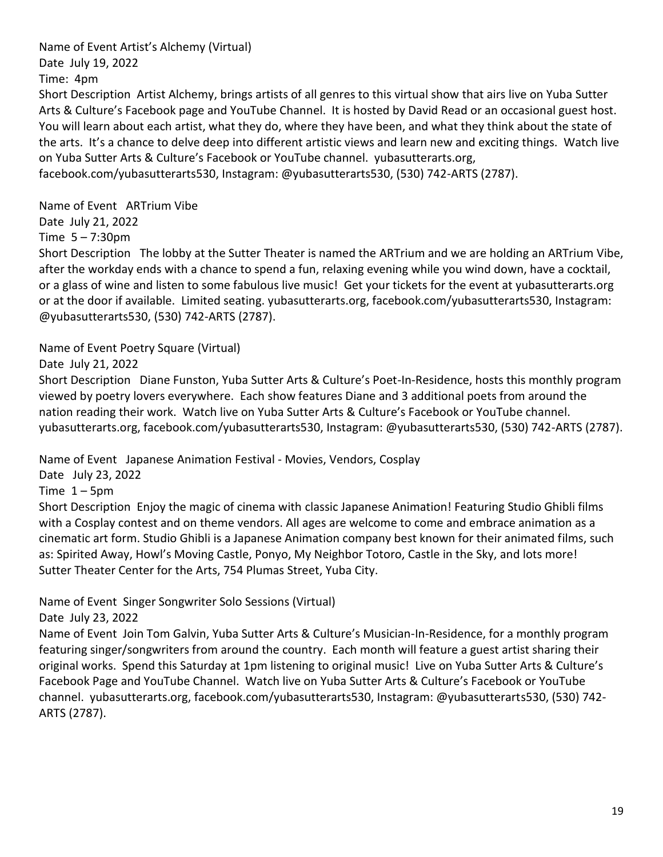Name of Event Artist's Alchemy (Virtual) Date July 19, 2022

Time: 4pm

Short Description Artist Alchemy, brings artists of all genres to this virtual show that airs live on Yuba Sutter Arts & Culture's Facebook page and YouTube Channel. It is hosted by David Read or an occasional guest host. You will learn about each artist, what they do, where they have been, and what they think about the state of the arts. It's a chance to delve deep into different artistic views and learn new and exciting things. Watch live on Yuba Sutter Arts & Culture's Facebook or YouTube channel. yubasutterarts.org, facebook.com/yubasutterarts530, Instagram: @yubasutterarts530, (530) 742-ARTS (2787).

Name of Event ARTrium Vibe

Date July 21, 2022

Time  $5 - 7:30$ pm

Short Description The lobby at the Sutter Theater is named the ARTrium and we are holding an ARTrium Vibe, after the workday ends with a chance to spend a fun, relaxing evening while you wind down, have a cocktail, or a glass of wine and listen to some fabulous live music! Get your tickets for the event at yubasutterarts.org or at the door if available. Limited seating. yubasutterarts.org, facebook.com/yubasutterarts530, Instagram: @yubasutterarts530, (530) 742-ARTS (2787).

Name of Event Poetry Square (Virtual)

Date July 21, 2022

Short Description Diane Funston, Yuba Sutter Arts & Culture's Poet-In-Residence, hosts this monthly program viewed by poetry lovers everywhere. Each show features Diane and 3 additional poets from around the nation reading their work. Watch live on Yuba Sutter Arts & Culture's Facebook or YouTube channel. yubasutterarts.org, facebook.com/yubasutterarts530, Instagram: @yubasutterarts530, (530) 742-ARTS (2787).

Name of Event Japanese Animation Festival - Movies, Vendors, Cosplay

Date July 23, 2022

Time  $1 - 5$ pm

Short Description Enjoy the magic of cinema with classic Japanese Animation! Featuring Studio Ghibli films with a Cosplay contest and on theme vendors. All ages are welcome to come and embrace animation as a cinematic art form. Studio Ghibli is a Japanese Animation company best known for their animated films, such as: Spirited Away, Howl's Moving Castle, Ponyo, My Neighbor Totoro, Castle in the Sky, and lots more! Sutter Theater Center for the Arts, 754 Plumas Street, Yuba City.

Name of Event Singer Songwriter Solo Sessions (Virtual)

Date July 23, 2022

Name of Event Join Tom Galvin, Yuba Sutter Arts & Culture's Musician-In-Residence, for a monthly program featuring singer/songwriters from around the country. Each month will feature a guest artist sharing their original works. Spend this Saturday at 1pm listening to original music! Live on Yuba Sutter Arts & Culture's Facebook Page and YouTube Channel. Watch live on Yuba Sutter Arts & Culture's Facebook or YouTube channel. yubasutterarts.org, facebook.com/yubasutterarts530, Instagram: @yubasutterarts530, (530) 742- ARTS (2787).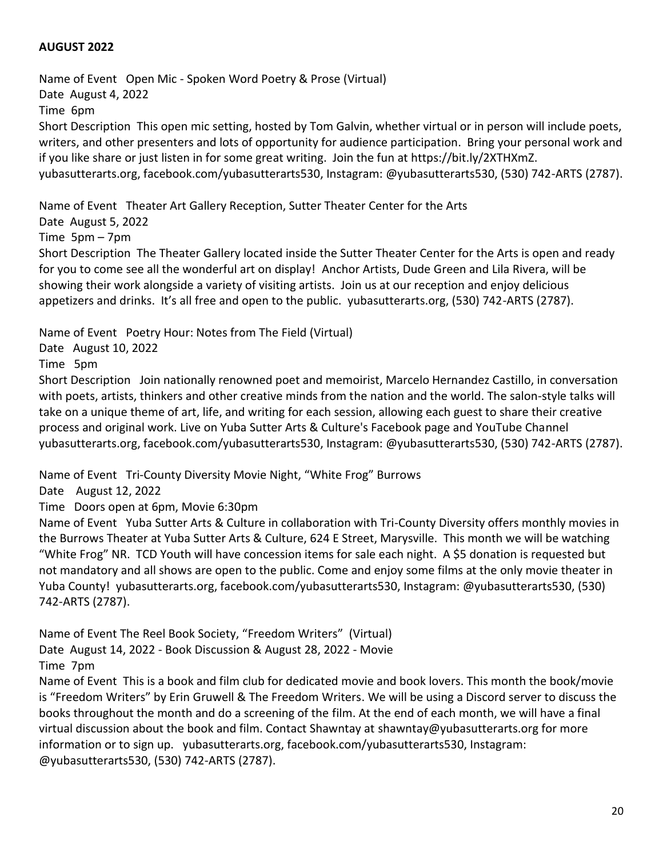### **AUGUST 2022**

Name of Event Open Mic - Spoken Word Poetry & Prose (Virtual) Date August 4, 2022 Time 6pm Short Description This open mic setting, hosted by Tom Galvin, whether virtual or in person will include poets, writers, and other presenters and lots of opportunity for audience participation. Bring your personal work and if you like share or just listen in for some great writing. Join the fun at [https://bit.ly/2XTHXmZ.](https://bit.ly/2XTHXmZ) yubasutterarts.org, facebook.com/yubasutterarts530, Instagram: @yubasutterarts530, (530) 742-ARTS (2787).

Name of Event Theater Art Gallery Reception, Sutter Theater Center for the Arts

#### Date August 5, 2022

Time 5pm – 7pm

Short Description The Theater Gallery located inside the Sutter Theater Center for the Arts is open and ready for you to come see all the wonderful art on display! Anchor Artists, Dude Green and Lila Rivera, will be showing their work alongside a variety of visiting artists. Join us at our reception and enjoy delicious appetizers and drinks. It's all free and open to the public. yubasutterarts.org, (530) 742-ARTS (2787).

Name of Event Poetry Hour: Notes from The Field (Virtual)

Date August 10, 2022

Time 5pm

Short Description Join nationally renowned poet and memoirist, Marcelo Hernandez Castillo, in conversation with poets, artists, thinkers and other creative minds from the nation and the world. The salon-style talks will take on a unique theme of art, life, and writing for each session, allowing each guest to share their creative process and original work. Live on Yuba Sutter Arts & Culture's Facebook page and YouTube Channel yubasutterarts.org, facebook.com/yubasutterarts530, Instagram: @yubasutterarts530, (530) 742-ARTS (2787).

Name of Event Tri-County Diversity Movie Night, "White Frog" Burrows

Date August 12, 2022

Time Doors open at 6pm, Movie 6:30pm

Name of Event Yuba Sutter Arts & Culture in collaboration with Tri-County Diversity offers monthly movies in the Burrows Theater at Yuba Sutter Arts & Culture, 624 E Street, Marysville. This month we will be watching "White Frog" NR. TCD Youth will have concession items for sale each night. A \$5 donation is requested but not mandatory and all shows are open to the public. Come and enjoy some films at the only movie theater in Yuba County! yubasutterarts.org, facebook.com/yubasutterarts530, Instagram: @yubasutterarts530, (530) 742-ARTS (2787).

Name of Event The Reel Book Society, "Freedom Writers" (Virtual) Date August 14, 2022 - Book Discussion & August 28, 2022 - Movie Time 7pm

Name of Event This is a book and film club for dedicated movie and book lovers. This month the book/movie is "Freedom Writers" by Erin Gruwell & The Freedom Writers. We will be using a Discord server to discuss the books throughout the month and do a screening of the film. At the end of each month, we will have a final virtual discussion about the book and film. Contact Shawntay at [shawntay@yubasutterarts.org](mailto:shawtay@yubasutterarts.org) for more information or to sign up. yubasutterarts.org, facebook.com/yubasutterarts530, Instagram: @yubasutterarts530, (530) 742-ARTS (2787).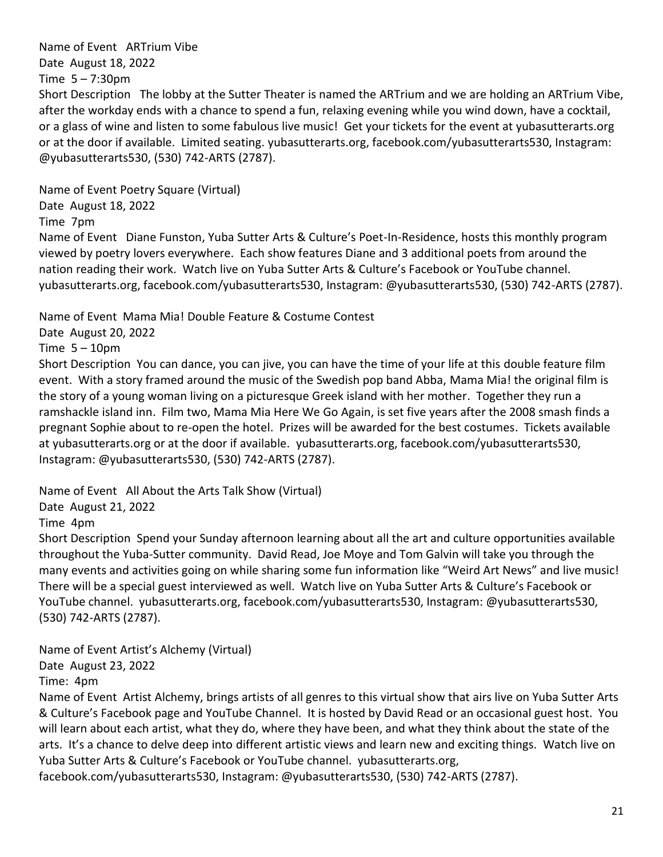Name of Event ARTrium Vibe Date August 18, 2022

Time  $5 - 7:30$ pm

Short Description The lobby at the Sutter Theater is named the ARTrium and we are holding an ARTrium Vibe, after the workday ends with a chance to spend a fun, relaxing evening while you wind down, have a cocktail, or a glass of wine and listen to some fabulous live music! Get your tickets for the event at yubasutterarts.org or at the door if available. Limited seating. yubasutterarts.org, facebook.com/yubasutterarts530, Instagram: @yubasutterarts530, (530) 742-ARTS (2787).

Name of Event Poetry Square (Virtual)

Date August 18, 2022

Time 7pm

Name of Event Diane Funston, Yuba Sutter Arts & Culture's Poet-In-Residence, hosts this monthly program viewed by poetry lovers everywhere. Each show features Diane and 3 additional poets from around the nation reading their work. Watch live on Yuba Sutter Arts & Culture's Facebook or YouTube channel. yubasutterarts.org, facebook.com/yubasutterarts530, Instagram: @yubasutterarts530, (530) 742-ARTS (2787).

Name of Event Mama Mia! Double Feature & Costume Contest

Date August 20, 2022

Time  $5 - 10$ pm

Short Description You can dance, you can jive, you can have the time of your life at this double feature film event. With a story framed around the music of the Swedish pop band Abba, Mama Mia! the original film is the story of a young woman living on a picturesque Greek island with her mother. Together they run a ramshackle island inn. Film two, Mama Mia Here We Go Again, is set five years after the 2008 smash finds a pregnant Sophie about to re-open the hotel. Prizes will be awarded for the best costumes. Tickets available at yubasutterarts.org or at the door if available. yubasutterarts.org, facebook.com/yubasutterarts530, Instagram: @yubasutterarts530, (530) 742-ARTS (2787).

Name of Event All About the Arts Talk Show (Virtual)

Date August 21, 2022

Time 4pm

Short Description Spend your Sunday afternoon learning about all the art and culture opportunities available throughout the Yuba-Sutter community. David Read, Joe Moye and Tom Galvin will take you through the many events and activities going on while sharing some fun information like "Weird Art News" and live music! There will be a special guest interviewed as well. Watch live on Yuba Sutter Arts & Culture's Facebook or YouTube channel. yubasutterarts.org, facebook.com/yubasutterarts530, Instagram: @yubasutterarts530, (530) 742-ARTS (2787).

Name of Event Artist's Alchemy (Virtual)

Date August 23, 2022

Time: 4pm

Name of Event Artist Alchemy, brings artists of all genres to this virtual show that airs live on Yuba Sutter Arts & Culture's Facebook page and YouTube Channel. It is hosted by David Read or an occasional guest host. You will learn about each artist, what they do, where they have been, and what they think about the state of the arts. It's a chance to delve deep into different artistic views and learn new and exciting things. Watch live on Yuba Sutter Arts & Culture's Facebook or YouTube channel. yubasutterarts.org,

facebook.com/yubasutterarts530, Instagram: @yubasutterarts530, (530) 742-ARTS (2787).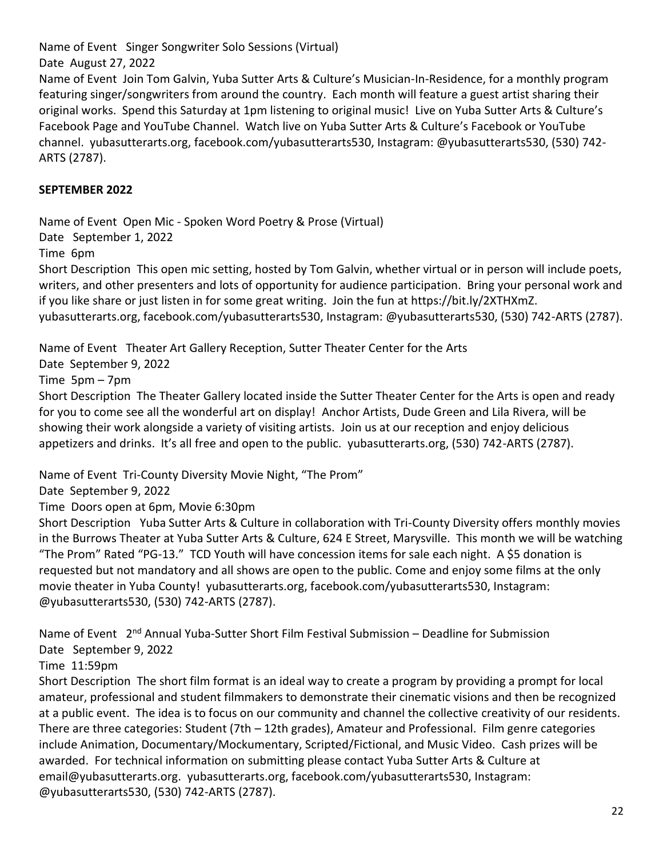Name of Event Singer Songwriter Solo Sessions (Virtual)

Date August 27, 2022

Name of Event Join Tom Galvin, Yuba Sutter Arts & Culture's Musician-In-Residence, for a monthly program featuring singer/songwriters from around the country. Each month will feature a guest artist sharing their original works. Spend this Saturday at 1pm listening to original music! Live on Yuba Sutter Arts & Culture's Facebook Page and YouTube Channel. Watch live on Yuba Sutter Arts & Culture's Facebook or YouTube channel. yubasutterarts.org, facebook.com/yubasutterarts530, Instagram: @yubasutterarts530, (530) 742- ARTS (2787).

### **SEPTEMBER 2022**

Name of Event Open Mic - Spoken Word Poetry & Prose (Virtual)

Date September 1, 2022

Time 6pm

Short Description This open mic setting, hosted by Tom Galvin, whether virtual or in person will include poets, writers, and other presenters and lots of opportunity for audience participation. Bring your personal work and if you like share or just listen in for some great writing. Join the fun at [https://bit.ly/2XTHXmZ.](https://bit.ly/2XTHXmZ) yubasutterarts.org, facebook.com/yubasutterarts530, Instagram: @yubasutterarts530, (530) 742-ARTS (2787).

Name of Event Theater Art Gallery Reception, Sutter Theater Center for the Arts

Date September 9, 2022

Time 5pm – 7pm

Short Description The Theater Gallery located inside the Sutter Theater Center for the Arts is open and ready for you to come see all the wonderful art on display! Anchor Artists, Dude Green and Lila Rivera, will be showing their work alongside a variety of visiting artists. Join us at our reception and enjoy delicious appetizers and drinks. It's all free and open to the public. yubasutterarts.org, (530) 742-ARTS (2787).

Name of Event Tri-County Diversity Movie Night, "The Prom"

Date September 9, 2022

Time Doors open at 6pm, Movie 6:30pm

Short Description Yuba Sutter Arts & Culture in collaboration with Tri-County Diversity offers monthly movies in the Burrows Theater at Yuba Sutter Arts & Culture, 624 E Street, Marysville. This month we will be watching "The Prom" Rated "PG-13." TCD Youth will have concession items for sale each night. A \$5 donation is requested but not mandatory and all shows are open to the public. Come and enjoy some films at the only movie theater in Yuba County! yubasutterarts.org, facebook.com/yubasutterarts530, Instagram: @yubasutterarts530, (530) 742-ARTS (2787).

Name of Event 2<sup>nd</sup> Annual Yuba-Sutter Short Film Festival Submission – Deadline for Submission Date September 9, 2022

Time 11:59pm

Short Description The short film format is an ideal way to create a program by providing a prompt for local amateur, professional and student filmmakers to demonstrate their cinematic visions and then be recognized at a public event. The idea is to focus on our community and channel the collective creativity of our residents. There are three categories: Student (7th – 12th grades), Amateur and Professional. Film genre categories include Animation, Documentary/Mockumentary, Scripted/Fictional, and Music Video. Cash prizes will be awarded. For technical information on submitting please contact Yuba Sutter Arts & Culture at [email@yubasutterarts.org.](mailto:email@yubasutterarts.org) yubasutterarts.org, facebook.com/yubasutterarts530, Instagram: @yubasutterarts530, (530) 742-ARTS (2787).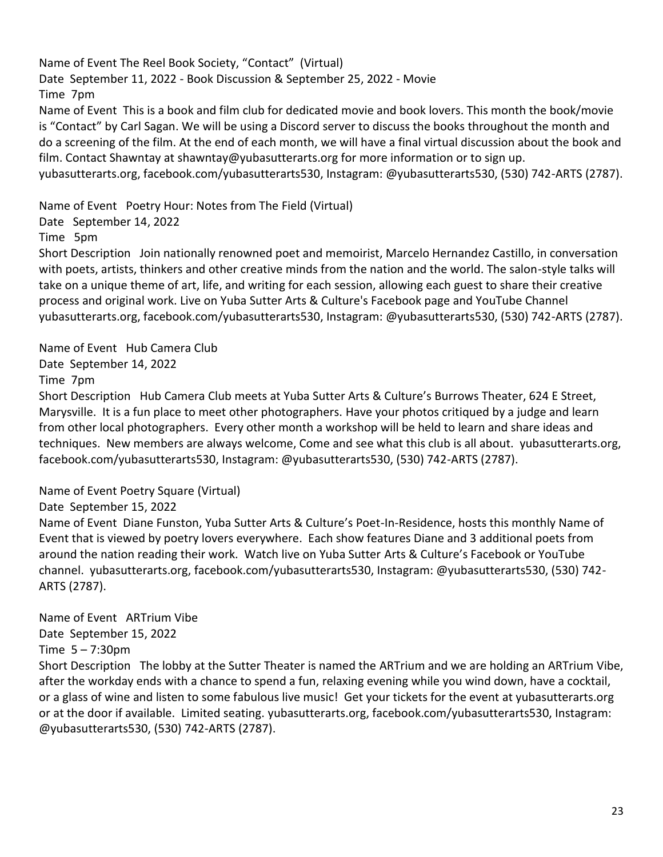Name of Event The Reel Book Society, "Contact" (Virtual) Date September 11, 2022 - Book Discussion & September 25, 2022 - Movie Time 7pm Name of Event This is a book and film club for dedicated movie and book lovers. This month the book/movie is "Contact" by Carl Sagan. We will be using a Discord server to discuss the books throughout the month and do a screening of the film. At the end of each month, we will have a final virtual discussion about the book and film. Contact Shawntay at [shawntay@yubasutterarts.org](mailto:shawtay@yubasutterarts.org) for more information or to sign up. yubasutterarts.org, facebook.com/yubasutterarts530, Instagram: @yubasutterarts530, (530) 742-ARTS (2787).

Name of Event Poetry Hour: Notes from The Field (Virtual)

Date September 14, 2022

Time 5pm

Short Description Join nationally renowned poet and memoirist, Marcelo Hernandez Castillo, in conversation with poets, artists, thinkers and other creative minds from the nation and the world. The salon-style talks will take on a unique theme of art, life, and writing for each session, allowing each guest to share their creative process and original work. Live on Yuba Sutter Arts & Culture's Facebook page and YouTube Channel yubasutterarts.org, facebook.com/yubasutterarts530, Instagram: @yubasutterarts530, (530) 742-ARTS (2787).

Name of Event Hub Camera Club Date September 14, 2022

Time 7pm

Short Description Hub Camera Club meets at Yuba Sutter Arts & Culture's Burrows Theater, 624 E Street, Marysville. It is a fun place to meet other photographers. Have your photos critiqued by a judge and learn from other local photographers. Every other month a workshop will be held to learn and share ideas and techniques. New members are always welcome, Come and see what this club is all about. yubasutterarts.org, facebook.com/yubasutterarts530, Instagram: @yubasutterarts530, (530) 742-ARTS (2787).

Name of Event Poetry Square (Virtual)

Date September 15, 2022

Name of Event Diane Funston, Yuba Sutter Arts & Culture's Poet-In-Residence, hosts this monthly Name of Event that is viewed by poetry lovers everywhere. Each show features Diane and 3 additional poets from around the nation reading their work. Watch live on Yuba Sutter Arts & Culture's Facebook or YouTube channel. yubasutterarts.org, facebook.com/yubasutterarts530, Instagram: @yubasutterarts530, (530) 742- ARTS (2787).

Name of Event ARTrium Vibe Date September 15, 2022 Time  $5 - 7:30$ pm

Short Description The lobby at the Sutter Theater is named the ARTrium and we are holding an ARTrium Vibe, after the workday ends with a chance to spend a fun, relaxing evening while you wind down, have a cocktail, or a glass of wine and listen to some fabulous live music! Get your tickets for the event at yubasutterarts.org or at the door if available. Limited seating. yubasutterarts.org, facebook.com/yubasutterarts530, Instagram: @yubasutterarts530, (530) 742-ARTS (2787).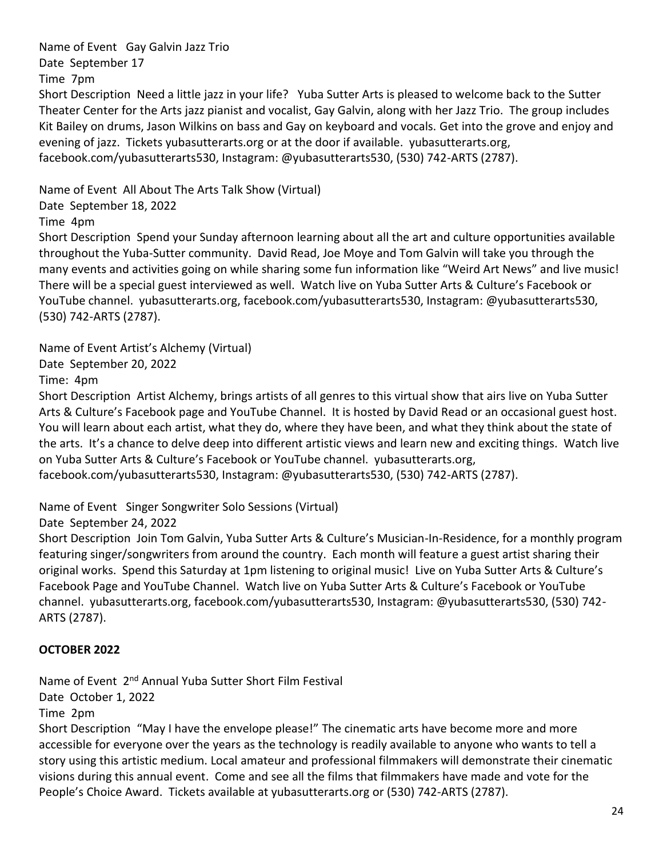Name of Event Gay Galvin Jazz Trio Date September 17

Time 7pm

Short Description Need a little jazz in your life? Yuba Sutter Arts is pleased to welcome back to the Sutter Theater Center for the Arts jazz pianist and vocalist, Gay Galvin, along with her Jazz Trio. The group includes Kit Bailey on drums, Jason Wilkins on bass and Gay on keyboard and vocals. Get into the grove and enjoy and evening of jazz. Tickets yubasutterarts.org or at the door if available. yubasutterarts.org, facebook.com/yubasutterarts530, Instagram: @yubasutterarts530, (530) 742-ARTS (2787).

Name of Event All About The Arts Talk Show (Virtual)

Date September 18, 2022

Time 4pm

Short Description Spend your Sunday afternoon learning about all the art and culture opportunities available throughout the Yuba-Sutter community. David Read, Joe Moye and Tom Galvin will take you through the many events and activities going on while sharing some fun information like "Weird Art News" and live music! There will be a special guest interviewed as well. Watch live on Yuba Sutter Arts & Culture's Facebook or YouTube channel. yubasutterarts.org, facebook.com/yubasutterarts530, Instagram: @yubasutterarts530, (530) 742-ARTS (2787).

Name of Event Artist's Alchemy (Virtual)

Date September 20, 2022

Time: 4pm

Short Description Artist Alchemy, brings artists of all genres to this virtual show that airs live on Yuba Sutter Arts & Culture's Facebook page and YouTube Channel. It is hosted by David Read or an occasional guest host. You will learn about each artist, what they do, where they have been, and what they think about the state of the arts. It's a chance to delve deep into different artistic views and learn new and exciting things. Watch live on Yuba Sutter Arts & Culture's Facebook or YouTube channel. yubasutterarts.org, facebook.com/yubasutterarts530, Instagram: @yubasutterarts530, (530) 742-ARTS (2787).

Name of Event Singer Songwriter Solo Sessions (Virtual)

Date September 24, 2022

Short Description Join Tom Galvin, Yuba Sutter Arts & Culture's Musician-In-Residence, for a monthly program featuring singer/songwriters from around the country. Each month will feature a guest artist sharing their original works. Spend this Saturday at 1pm listening to original music! Live on Yuba Sutter Arts & Culture's Facebook Page and YouTube Channel. Watch live on Yuba Sutter Arts & Culture's Facebook or YouTube channel. yubasutterarts.org, facebook.com/yubasutterarts530, Instagram: @yubasutterarts530, (530) 742- ARTS (2787).

# **OCTOBER 2022**

Name of Event 2<sup>nd</sup> Annual Yuba Sutter Short Film Festival

Date October 1, 2022

Time 2pm

Short Description "May I have the envelope please!" The cinematic arts have become more and more accessible for everyone over the years as the technology is readily available to anyone who wants to tell a story using this artistic medium. Local amateur and professional filmmakers will demonstrate their cinematic visions during this annual event. Come and see all the films that filmmakers have made and vote for the People's Choice Award. Tickets available at yubasutterarts.org or (530) 742-ARTS (2787).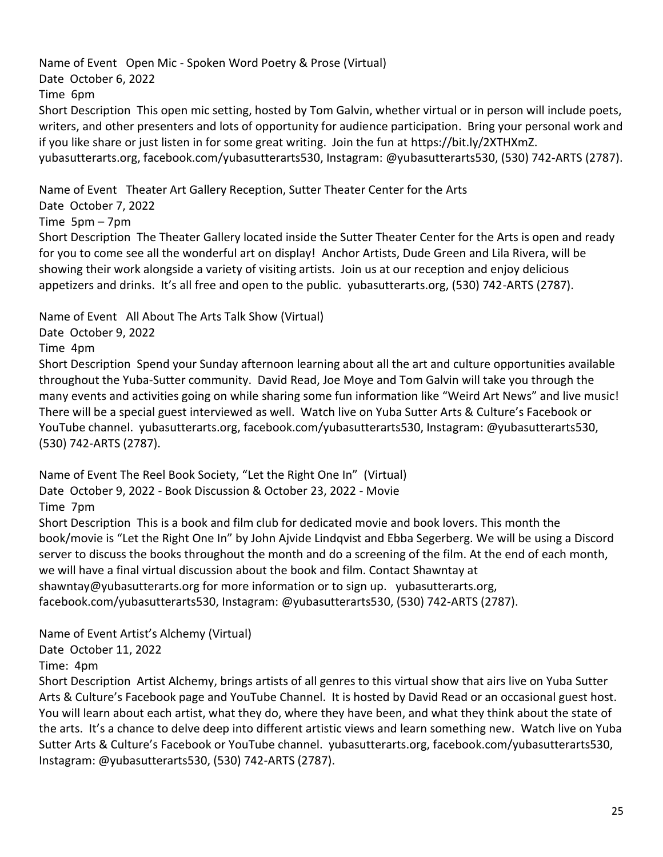Name of Event Open Mic - Spoken Word Poetry & Prose (Virtual) Date October 6, 2022 Time 6pm Short Description This open mic setting, hosted by Tom Galvin, whether virtual or in person will include poets, writers, and other presenters and lots of opportunity for audience participation. Bring your personal work and if you like share or just listen in for some great writing. Join the fun at [https://bit.ly/2XTHXmZ.](https://bit.ly/2XTHXmZ) yubasutterarts.org, facebook.com/yubasutterarts530, Instagram: @yubasutterarts530, (530) 742-ARTS (2787).

Name of Event Theater Art Gallery Reception, Sutter Theater Center for the Arts

Date October 7, 2022

Time 5pm – 7pm

Short Description The Theater Gallery located inside the Sutter Theater Center for the Arts is open and ready for you to come see all the wonderful art on display! Anchor Artists, Dude Green and Lila Rivera, will be showing their work alongside a variety of visiting artists. Join us at our reception and enjoy delicious appetizers and drinks. It's all free and open to the public. yubasutterarts.org, (530) 742-ARTS (2787).

Name of Event All About The Arts Talk Show (Virtual)

Date October 9, 2022

Time 4pm

Short Description Spend your Sunday afternoon learning about all the art and culture opportunities available throughout the Yuba-Sutter community. David Read, Joe Moye and Tom Galvin will take you through the many events and activities going on while sharing some fun information like "Weird Art News" and live music! There will be a special guest interviewed as well. Watch live on Yuba Sutter Arts & Culture's Facebook or YouTube channel. yubasutterarts.org, facebook.com/yubasutterarts530, Instagram: @yubasutterarts530, (530) 742-ARTS (2787).

Name of Event The Reel Book Society, "Let the Right One In" (Virtual) Date October 9, 2022 - Book Discussion & October 23, 2022 - Movie Time 7pm Short Description This is a book and film club for dedicated movie and book lovers. This month the

book/movie is "Let the Right One In" by John Ajvide Lindqvist and Ebba Segerberg. We will be using a Discord server to discuss the books throughout the month and do a screening of the film. At the end of each month, we will have a final virtual discussion about the book and film. Contact Shawntay at shawntay@yubasutterarts.org for more information or to sign up. yubasutterarts.org, facebook.com/yubasutterarts530, Instagram: @yubasutterarts530, (530) 742-ARTS (2787).

Name of Event Artist's Alchemy (Virtual)

Date October 11, 2022

Time: 4pm

Short Description Artist Alchemy, brings artists of all genres to this virtual show that airs live on Yuba Sutter Arts & Culture's Facebook page and YouTube Channel. It is hosted by David Read or an occasional guest host. You will learn about each artist, what they do, where they have been, and what they think about the state of the arts. It's a chance to delve deep into different artistic views and learn something new. Watch live on Yuba Sutter Arts & Culture's Facebook or YouTube channel. yubasutterarts.org, facebook.com/yubasutterarts530, Instagram: @yubasutterarts530, (530) 742-ARTS (2787).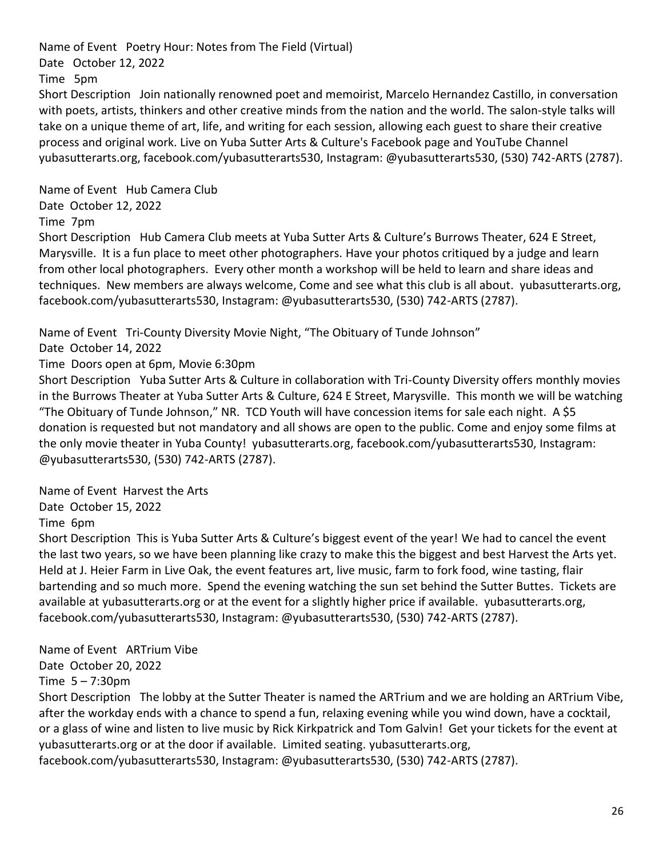Name of Event Poetry Hour: Notes from The Field (Virtual) Date October 12, 2022 Time 5pm Short Description Join nationally renowned poet and memoirist, Marcelo Hernandez Castillo, in conversation

with poets, artists, thinkers and other creative minds from the nation and the world. The salon-style talks will take on a unique theme of art, life, and writing for each session, allowing each guest to share their creative process and original work. Live on Yuba Sutter Arts & Culture's Facebook page and YouTube Channel yubasutterarts.org, facebook.com/yubasutterarts530, Instagram: @yubasutterarts530, (530) 742-ARTS (2787).

Name of Event Hub Camera Club Date October 12, 2022 Time 7pm

Short Description Hub Camera Club meets at Yuba Sutter Arts & Culture's Burrows Theater, 624 E Street, Marysville. It is a fun place to meet other photographers. Have your photos critiqued by a judge and learn from other local photographers. Every other month a workshop will be held to learn and share ideas and techniques. New members are always welcome, Come and see what this club is all about. yubasutterarts.org, facebook.com/yubasutterarts530, Instagram: @yubasutterarts530, (530) 742-ARTS (2787).

Name of Event Tri-County Diversity Movie Night, "The Obituary of Tunde Johnson"

Date October 14, 2022

Time Doors open at 6pm, Movie 6:30pm

Short Description Yuba Sutter Arts & Culture in collaboration with Tri-County Diversity offers monthly movies in the Burrows Theater at Yuba Sutter Arts & Culture, 624 E Street, Marysville. This month we will be watching "The Obituary of Tunde Johnson," NR. TCD Youth will have concession items for sale each night. A \$5 donation is requested but not mandatory and all shows are open to the public. Come and enjoy some films at the only movie theater in Yuba County! yubasutterarts.org, facebook.com/yubasutterarts530, Instagram: @yubasutterarts530, (530) 742-ARTS (2787).

Name of Event Harvest the Arts

Date October 15, 2022

Time 6pm

Short Description This is Yuba Sutter Arts & Culture's biggest event of the year! We had to cancel the event the last two years, so we have been planning like crazy to make this the biggest and best Harvest the Arts yet. Held at J. Heier Farm in Live Oak, the event features art, live music, farm to fork food, wine tasting, flair bartending and so much more. Spend the evening watching the sun set behind the Sutter Buttes. Tickets are available at yubasutterarts.org or at the event for a slightly higher price if available. yubasutterarts.org, facebook.com/yubasutterarts530, Instagram: @yubasutterarts530, (530) 742-ARTS (2787).

Name of Event ARTrium Vibe

Date October 20, 2022

Time 5 – 7:30pm

Short Description The lobby at the Sutter Theater is named the ARTrium and we are holding an ARTrium Vibe, after the workday ends with a chance to spend a fun, relaxing evening while you wind down, have a cocktail, or a glass of wine and listen to live music by Rick Kirkpatrick and Tom Galvin! Get your tickets for the event at yubasutterarts.org or at the door if available. Limited seating. yubasutterarts.org,

facebook.com/yubasutterarts530, Instagram: @yubasutterarts530, (530) 742-ARTS (2787).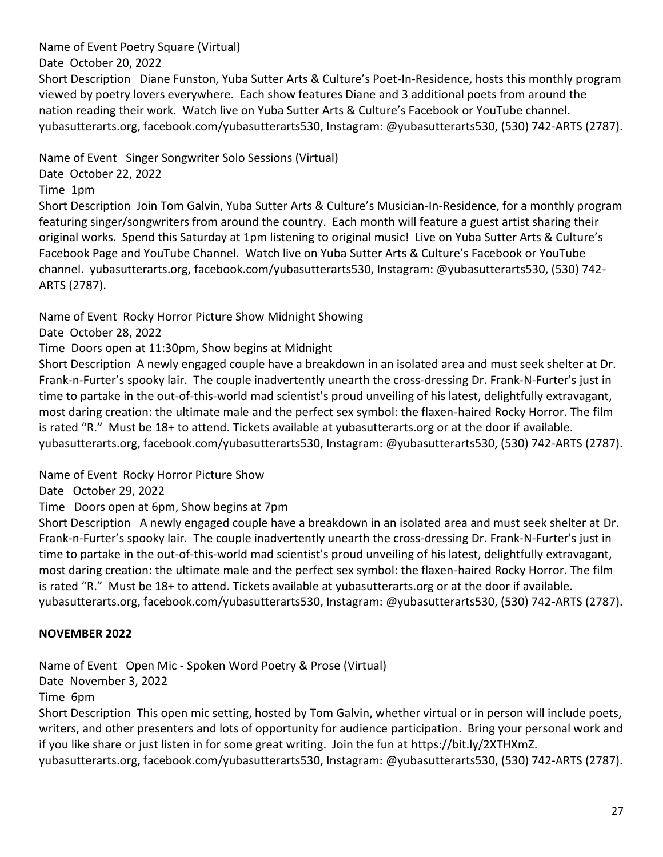Name of Event Poetry Square (Virtual)

Date October 20, 2022

Short Description Diane Funston, Yuba Sutter Arts & Culture's Poet-In-Residence, hosts this monthly program viewed by poetry lovers everywhere. Each show features Diane and 3 additional poets from around the nation reading their work. Watch live on Yuba Sutter Arts & Culture's Facebook or YouTube channel. yubasutterarts.org, facebook.com/yubasutterarts530, Instagram: @yubasutterarts530, (530) 742-ARTS (2787).

Name of Event Singer Songwriter Solo Sessions (Virtual)

Date October 22, 2022

Time 1pm

Short Description Join Tom Galvin, Yuba Sutter Arts & Culture's Musician-In-Residence, for a monthly program featuring singer/songwriters from around the country. Each month will feature a guest artist sharing their original works. Spend this Saturday at 1pm listening to original music! Live on Yuba Sutter Arts & Culture's Facebook Page and YouTube Channel. Watch live on Yuba Sutter Arts & Culture's Facebook or YouTube channel. yubasutterarts.org, facebook.com/yubasutterarts530, Instagram: @yubasutterarts530, (530) 742- ARTS (2787).

Name of Event Rocky Horror Picture Show Midnight Showing

Date October 28, 2022

Time Doors open at 11:30pm, Show begins at Midnight

Short Description A newly engaged couple have a breakdown in an isolated area and must seek shelter at Dr. Frank-n-Furter's spooky lair. The couple inadvertently unearth the cross-dressing Dr. Frank-N-Furter's just in time to partake in the out-of-this-world mad scientist's proud unveiling of his latest, delightfully extravagant, most daring creation: the ultimate male and the perfect sex symbol: the flaxen-haired Rocky Horror. The film is rated "R." Must be 18+ to attend. Tickets available at yubasutterarts.org or at the door if available. yubasutterarts.org, facebook.com/yubasutterarts530, Instagram: @yubasutterarts530, (530) 742-ARTS (2787).

Name of Event Rocky Horror Picture Show

Date October 29, 2022

Time Doors open at 6pm, Show begins at 7pm

Short Description A newly engaged couple have a breakdown in an isolated area and must seek shelter at Dr. Frank-n-Furter's spooky lair. The couple inadvertently unearth the cross-dressing Dr. Frank-N-Furter's just in time to partake in the out-of-this-world mad scientist's proud unveiling of his latest, delightfully extravagant, most daring creation: the ultimate male and the perfect sex symbol: the flaxen-haired Rocky Horror. The film is rated "R." Must be 18+ to attend. Tickets available at yubasutterarts.org or at the door if available. yubasutterarts.org, facebook.com/yubasutterarts530, Instagram: @yubasutterarts530, (530) 742-ARTS (2787).

# **NOVEMBER 2022**

Name of Event Open Mic - Spoken Word Poetry & Prose (Virtual)

Date November 3, 2022

Time 6pm

Short Description This open mic setting, hosted by Tom Galvin, whether virtual or in person will include poets, writers, and other presenters and lots of opportunity for audience participation. Bring your personal work and if you like share or just listen in for some great writing. Join the fun at [https://bit.ly/2XTHXmZ.](https://bit.ly/2XTHXmZ) yubasutterarts.org, facebook.com/yubasutterarts530, Instagram: @yubasutterarts530, (530) 742-ARTS (2787).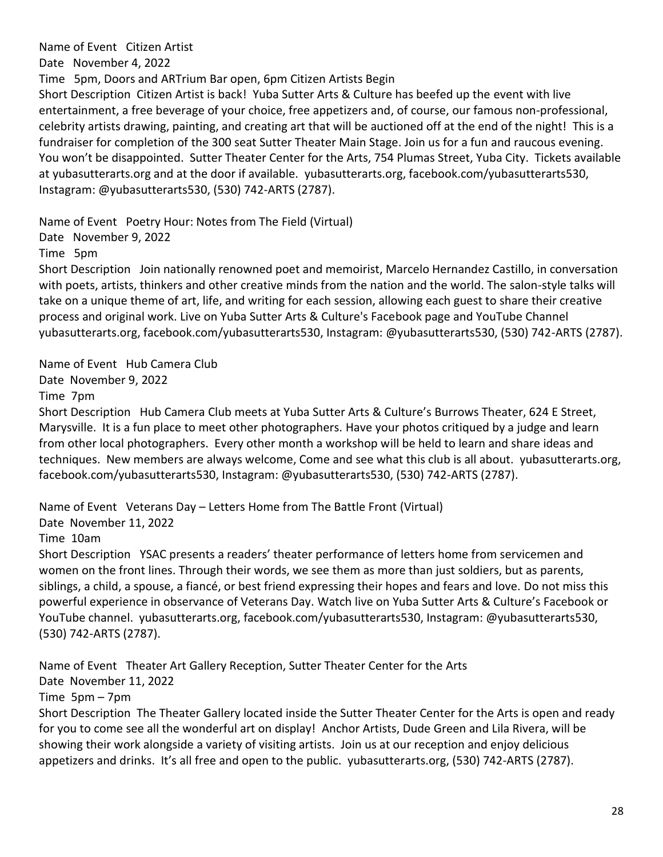Name of Event Citizen Artist

Date November 4, 2022

Time 5pm, Doors and ARTrium Bar open, 6pm Citizen Artists Begin

Short Description Citizen Artist is back! Yuba Sutter Arts & Culture has beefed up the event with live entertainment, a free beverage of your choice, free appetizers and, of course, our famous non-professional, celebrity artists drawing, painting, and creating art that will be auctioned off at the end of the night! This is a fundraiser for completion of the 300 seat Sutter Theater Main Stage. Join us for a fun and raucous evening. You won't be disappointed. Sutter Theater Center for the Arts, 754 Plumas Street, Yuba City. Tickets available at yubasutterarts.org and at the door if available. yubasutterarts.org, facebook.com/yubasutterarts530, Instagram: @yubasutterarts530, (530) 742-ARTS (2787).

Name of Event Poetry Hour: Notes from The Field (Virtual)

Date November 9, 2022

Time 5pm

Short Description Join nationally renowned poet and memoirist, Marcelo Hernandez Castillo, in conversation with poets, artists, thinkers and other creative minds from the nation and the world. The salon-style talks will take on a unique theme of art, life, and writing for each session, allowing each guest to share their creative process and original work. Live on Yuba Sutter Arts & Culture's Facebook page and YouTube Channel yubasutterarts.org, facebook.com/yubasutterarts530, Instagram: @yubasutterarts530, (530) 742-ARTS (2787).

Name of Event Hub Camera Club

Date November 9, 2022

Time 7pm

Short Description Hub Camera Club meets at Yuba Sutter Arts & Culture's Burrows Theater, 624 E Street, Marysville. It is a fun place to meet other photographers. Have your photos critiqued by a judge and learn from other local photographers. Every other month a workshop will be held to learn and share ideas and techniques. New members are always welcome, Come and see what this club is all about. yubasutterarts.org, facebook.com/yubasutterarts530, Instagram: @yubasutterarts530, (530) 742-ARTS (2787).

Name of Event Veterans Day – Letters Home from The Battle Front (Virtual)

Date November 11, 2022

Time 10am

Short Description YSAC presents a readers' theater performance of letters home from servicemen and women on the front lines. Through their words, we see them as more than just soldiers, but as parents, siblings, a child, a spouse, a fiancé, or best friend expressing their hopes and fears and love. Do not miss this powerful experience in observance of Veterans Day. Watch live on Yuba Sutter Arts & Culture's Facebook or YouTube channel. yubasutterarts.org, facebook.com/yubasutterarts530, Instagram: @yubasutterarts530, (530) 742-ARTS (2787).

Name of Event Theater Art Gallery Reception, Sutter Theater Center for the Arts

Date November 11, 2022

Time 5pm – 7pm

Short Description The Theater Gallery located inside the Sutter Theater Center for the Arts is open and ready for you to come see all the wonderful art on display! Anchor Artists, Dude Green and Lila Rivera, will be showing their work alongside a variety of visiting artists. Join us at our reception and enjoy delicious appetizers and drinks. It's all free and open to the public. yubasutterarts.org, (530) 742-ARTS (2787).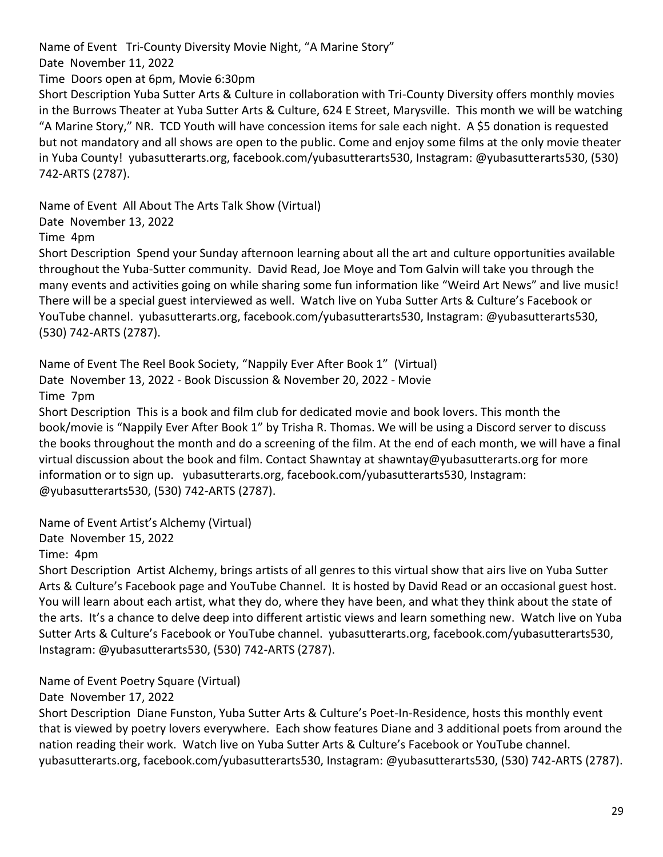Name of Event Tri-County Diversity Movie Night, "A Marine Story"

Date November 11, 2022

Time Doors open at 6pm, Movie 6:30pm

Short Description Yuba Sutter Arts & Culture in collaboration with Tri-County Diversity offers monthly movies in the Burrows Theater at Yuba Sutter Arts & Culture, 624 E Street, Marysville. This month we will be watching "A Marine Story," NR. TCD Youth will have concession items for sale each night. A \$5 donation is requested but not mandatory and all shows are open to the public. Come and enjoy some films at the only movie theater in Yuba County! yubasutterarts.org, facebook.com/yubasutterarts530, Instagram: @yubasutterarts530, (530) 742-ARTS (2787).

Name of Event All About The Arts Talk Show (Virtual)

Date November 13, 2022

Time 4pm

Short Description Spend your Sunday afternoon learning about all the art and culture opportunities available throughout the Yuba-Sutter community. David Read, Joe Moye and Tom Galvin will take you through the many events and activities going on while sharing some fun information like "Weird Art News" and live music! There will be a special guest interviewed as well. Watch live on Yuba Sutter Arts & Culture's Facebook or YouTube channel. yubasutterarts.org, facebook.com/yubasutterarts530, Instagram: @yubasutterarts530, (530) 742-ARTS (2787).

Name of Event The Reel Book Society, "Nappily Ever After Book 1" (Virtual) Date November 13, 2022 - Book Discussion & November 20, 2022 - Movie Time 7pm

Short Description This is a book and film club for dedicated movie and book lovers. This month the book/movie is "Nappily Ever After Book 1" by Trisha R. Thomas. We will be using a Discord server to discuss the books throughout the month and do a screening of the film. At the end of each month, we will have a final virtual discussion about the book and film. Contact Shawntay at [shawntay@yubasutterarts.org](mailto:shawtay@yubasutterarts.org) for more information or to sign up. yubasutterarts.org, facebook.com/yubasutterarts530, Instagram: @yubasutterarts530, (530) 742-ARTS (2787).

Name of Event Artist's Alchemy (Virtual)

Date November 15, 2022

Time: 4pm

Short Description Artist Alchemy, brings artists of all genres to this virtual show that airs live on Yuba Sutter Arts & Culture's Facebook page and YouTube Channel. It is hosted by David Read or an occasional guest host. You will learn about each artist, what they do, where they have been, and what they think about the state of the arts. It's a chance to delve deep into different artistic views and learn something new. Watch live on Yuba Sutter Arts & Culture's Facebook or YouTube channel. yubasutterarts.org, facebook.com/yubasutterarts530, Instagram: @yubasutterarts530, (530) 742-ARTS (2787).

Name of Event Poetry Square (Virtual)

Date November 17, 2022

Short Description Diane Funston, Yuba Sutter Arts & Culture's Poet-In-Residence, hosts this monthly event that is viewed by poetry lovers everywhere. Each show features Diane and 3 additional poets from around the nation reading their work. Watch live on Yuba Sutter Arts & Culture's Facebook or YouTube channel. yubasutterarts.org, facebook.com/yubasutterarts530, Instagram: @yubasutterarts530, (530) 742-ARTS (2787).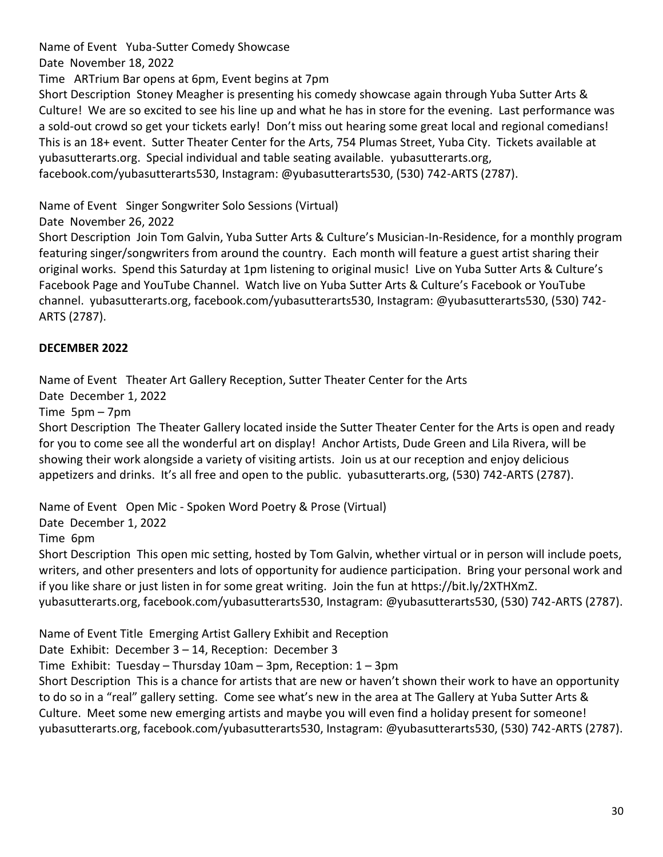Name of Event Yuba-Sutter Comedy Showcase Date November 18, 2022 Time ARTrium Bar opens at 6pm, Event begins at 7pm Short Description Stoney Meagher is presenting his comedy showcase again through Yuba Sutter Arts & Culture! We are so excited to see his line up and what he has in store for the evening. Last performance was a sold-out crowd so get your tickets early! Don't miss out hearing some great local and regional comedians! This is an 18+ event. Sutter Theater Center for the Arts, 754 Plumas Street, Yuba City. Tickets available at yubasutterarts.org. Special individual and table seating available. yubasutterarts.org, facebook.com/yubasutterarts530, Instagram: @yubasutterarts530, (530) 742-ARTS (2787).

Name of Event Singer Songwriter Solo Sessions (Virtual)

Date November 26, 2022

Short Description Join Tom Galvin, Yuba Sutter Arts & Culture's Musician-In-Residence, for a monthly program featuring singer/songwriters from around the country. Each month will feature a guest artist sharing their original works. Spend this Saturday at 1pm listening to original music! Live on Yuba Sutter Arts & Culture's Facebook Page and YouTube Channel. Watch live on Yuba Sutter Arts & Culture's Facebook or YouTube channel. yubasutterarts.org, facebook.com/yubasutterarts530, Instagram: @yubasutterarts530, (530) 742- ARTS (2787).

### **DECEMBER 2022**

Name of Event Theater Art Gallery Reception, Sutter Theater Center for the Arts

Date December 1, 2022

Time 5pm – 7pm

Short Description The Theater Gallery located inside the Sutter Theater Center for the Arts is open and ready for you to come see all the wonderful art on display! Anchor Artists, Dude Green and Lila Rivera, will be showing their work alongside a variety of visiting artists. Join us at our reception and enjoy delicious appetizers and drinks. It's all free and open to the public. yubasutterarts.org, (530) 742-ARTS (2787).

Name of Event Open Mic - Spoken Word Poetry & Prose (Virtual)

Date December 1, 2022

Time 6pm

Short Description This open mic setting, hosted by Tom Galvin, whether virtual or in person will include poets, writers, and other presenters and lots of opportunity for audience participation. Bring your personal work and if you like share or just listen in for some great writing. Join the fun at [https://bit.ly/2XTHXmZ.](https://bit.ly/2XTHXmZ) yubasutterarts.org, facebook.com/yubasutterarts530, Instagram: @yubasutterarts530, (530) 742-ARTS (2787).

Name of Event Title Emerging Artist Gallery Exhibit and Reception

Date Exhibit: December 3 – 14, Reception: December 3

Time Exhibit: Tuesday – Thursday 10am – 3pm, Reception: 1 – 3pm

Short Description This is a chance for artists that are new or haven't shown their work to have an opportunity to do so in a "real" gallery setting. Come see what's new in the area at The Gallery at Yuba Sutter Arts & Culture. Meet some new emerging artists and maybe you will even find a holiday present for someone! yubasutterarts.org, facebook.com/yubasutterarts530, Instagram: @yubasutterarts530, (530) 742-ARTS (2787).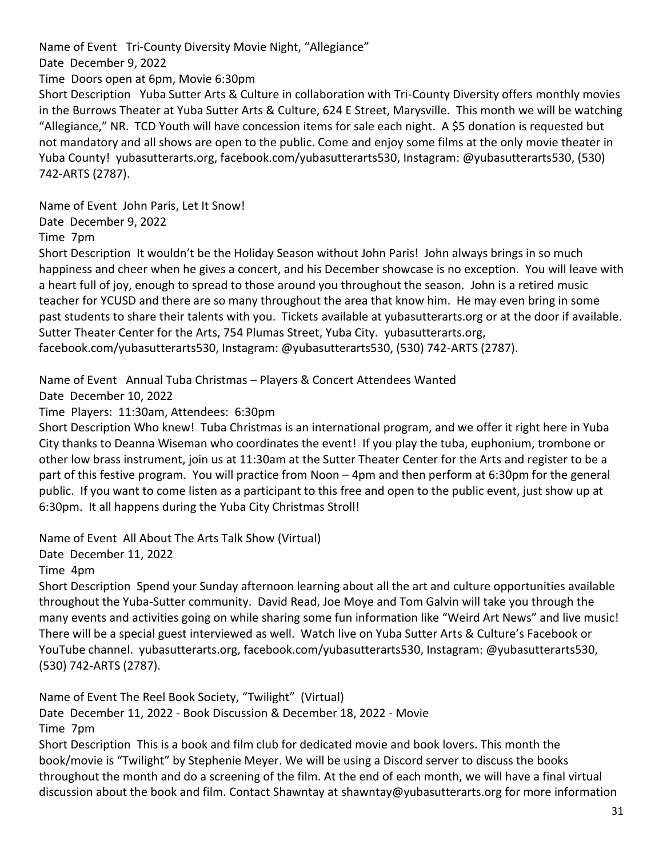Name of Event Tri-County Diversity Movie Night, "Allegiance"

Date December 9, 2022

Time Doors open at 6pm, Movie 6:30pm

Short Description Yuba Sutter Arts & Culture in collaboration with Tri-County Diversity offers monthly movies in the Burrows Theater at Yuba Sutter Arts & Culture, 624 E Street, Marysville. This month we will be watching "Allegiance," NR. TCD Youth will have concession items for sale each night. A \$5 donation is requested but not mandatory and all shows are open to the public. Come and enjoy some films at the only movie theater in Yuba County! yubasutterarts.org, facebook.com/yubasutterarts530, Instagram: @yubasutterarts530, (530) 742-ARTS (2787).

Name of Event John Paris, Let It Snow!

Date December 9, 2022

Time 7pm

Short Description It wouldn't be the Holiday Season without John Paris! John always brings in so much happiness and cheer when he gives a concert, and his December showcase is no exception. You will leave with a heart full of joy, enough to spread to those around you throughout the season. John is a retired music teacher for YCUSD and there are so many throughout the area that know him. He may even bring in some past students to share their talents with you. Tickets available at yubasutterarts.org or at the door if available. Sutter Theater Center for the Arts, 754 Plumas Street, Yuba City. yubasutterarts.org, facebook.com/yubasutterarts530, Instagram: @yubasutterarts530, (530) 742-ARTS (2787).

Name of Event Annual Tuba Christmas – Players & Concert Attendees Wanted

Date December 10, 2022

Time Players: 11:30am, Attendees: 6:30pm

Short Description Who knew! Tuba Christmas is an international program, and we offer it right here in Yuba City thanks to Deanna Wiseman who coordinates the event! If you play the tuba, euphonium, trombone or other low brass instrument, join us at 11:30am at the Sutter Theater Center for the Arts and register to be a part of this festive program. You will practice from Noon – 4pm and then perform at 6:30pm for the general public. If you want to come listen as a participant to this free and open to the public event, just show up at 6:30pm. It all happens during the Yuba City Christmas Stroll!

Name of Event All About The Arts Talk Show (Virtual)

Date December 11, 2022

Time 4pm

Short Description Spend your Sunday afternoon learning about all the art and culture opportunities available throughout the Yuba-Sutter community. David Read, Joe Moye and Tom Galvin will take you through the many events and activities going on while sharing some fun information like "Weird Art News" and live music! There will be a special guest interviewed as well. Watch live on Yuba Sutter Arts & Culture's Facebook or YouTube channel. yubasutterarts.org, facebook.com/yubasutterarts530, Instagram: @yubasutterarts530, (530) 742-ARTS (2787).

Name of Event The Reel Book Society, "Twilight" (Virtual)

Date December 11, 2022 - Book Discussion & December 18, 2022 - Movie Time 7pm

Short Description This is a book and film club for dedicated movie and book lovers. This month the book/movie is "Twilight" by Stephenie Meyer. We will be using a Discord server to discuss the books throughout the month and do a screening of the film. At the end of each month, we will have a final virtual discussion about the book and film. Contact Shawntay at [shawntay@yubasutterarts.org](mailto:shawtay@yubasutterarts.org) for more information